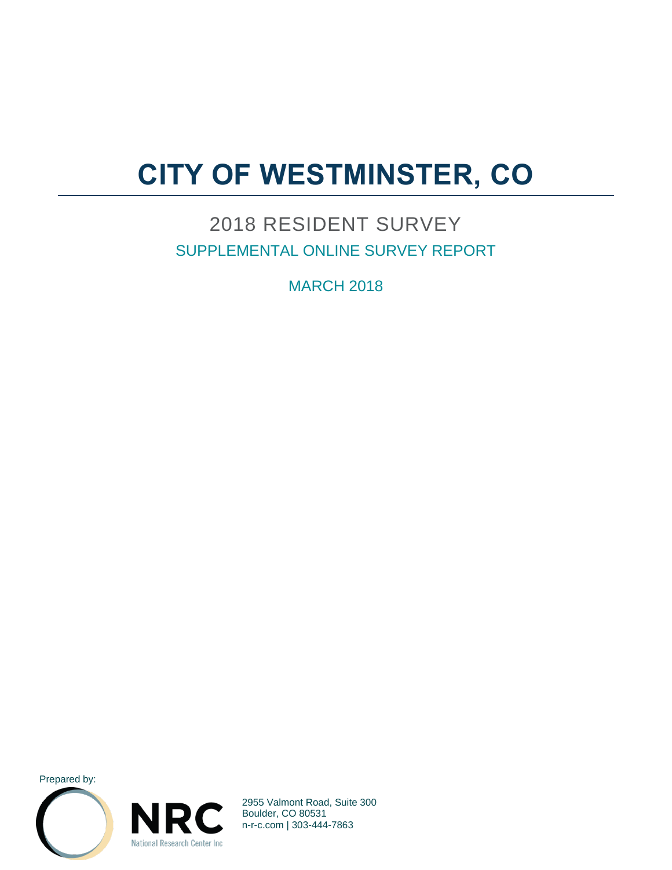# **CITY OF WESTMINSTER, CO**

### 2018 RESIDENT SURVEY SUPPLEMENTAL ONLINE SURVEY REPORT

**MARCH 2018** 

Prepared by:





2955 Valmont Road, Suite 300 Boulder, CO 80531 n-r-c.com | 303-444-7863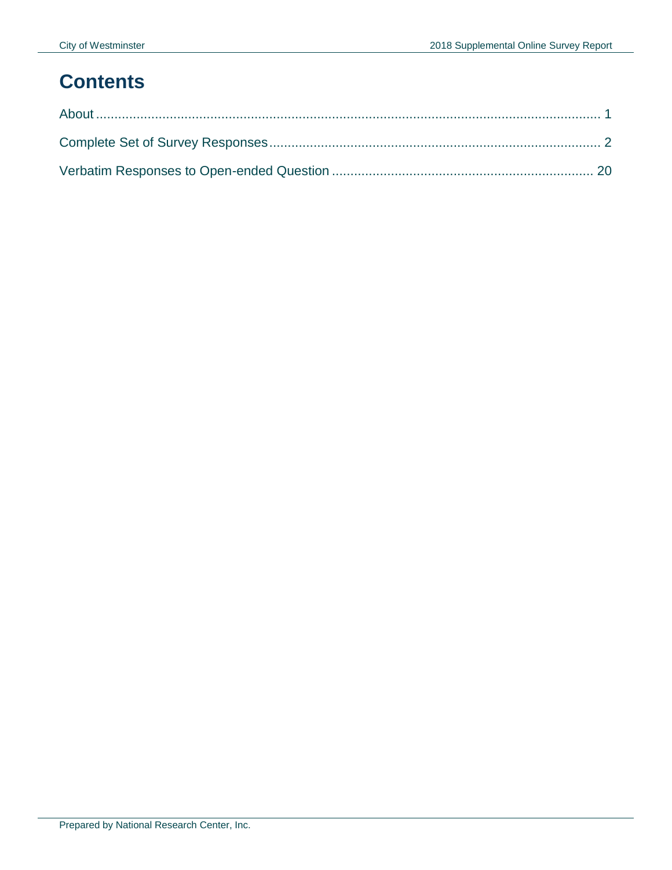## **Contents**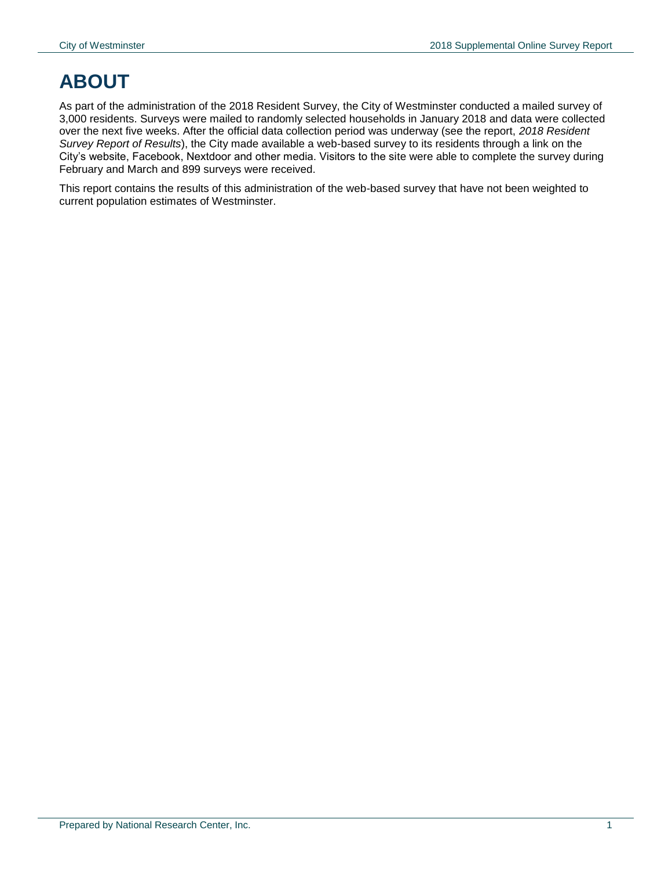## <span id="page-2-0"></span>**ABOUT**

As part of the administration of the 2018 Resident Survey, the City of Westminster conducted a mailed survey of 3,000 residents. Surveys were mailed to randomly selected households in January 2018 and data were collected over the next five weeks. After the official data collection period was underway (see the report, *2018 Resident Survey Report of Results*), the City made available a web-based survey to its residents through a link on the City's website, Facebook, Nextdoor and other media. Visitors to the site were able to complete the survey during February and March and 899 surveys were received.

This report contains the results of this administration of the web-based survey that have not been weighted to current population estimates of Westminster.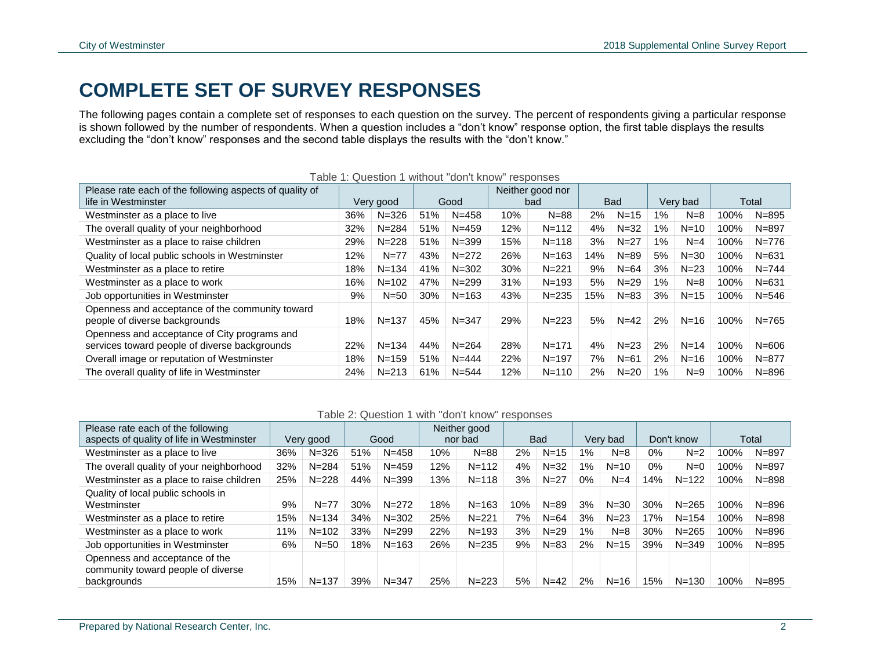### **COMPLETE SET OF SURVEY RESPONSES**

The following pages contain a complete set of responses to each question on the survey. The percent of respondents giving a particular response is shown followed by the number of respondents. When a question includes a "don't know" response option, the first table displays the results excluding the "don't know" responses and the second table displays the results with the "don't know."

<span id="page-3-0"></span>

| Please rate each of the following aspects of quality of                                       |     |           |     | Table I. Gaccion I Miniout achitinom Teoponoco |     | Neither good nor |            |          |          |          |       |           |
|-----------------------------------------------------------------------------------------------|-----|-----------|-----|------------------------------------------------|-----|------------------|------------|----------|----------|----------|-------|-----------|
| life in Westminster                                                                           |     | Very good |     | Good                                           |     | bad              | <b>Bad</b> |          | Very bad |          | Total |           |
| Westminster as a place to live                                                                | 36% | $N = 326$ | 51% | $N = 458$                                      | 10% | $N = 88$         | 2%         | $N=15$   | 1%       | $N=8$    | 100%  | $N = 895$ |
| The overall quality of your neighborhood                                                      | 32% | $N = 284$ | 51% | $N = 459$                                      | 12% | $N = 112$        | 4%         | $N = 32$ | 1%       | $N=10$   | 100%  | $N = 897$ |
| Westminster as a place to raise children                                                      | 29% | $N = 228$ | 51% | $N = 399$                                      | 15% | $N = 118$        | 3%         | $N = 27$ | 1%       | $N=4$    | 100%  | $N = 776$ |
| Quality of local public schools in Westminster                                                | 12% | $N = 77$  | 43% | $N = 272$                                      | 26% | $N = 163$        | 14%        | $N = 89$ | 5%       | $N = 30$ | 100%  | $N = 631$ |
| Westminster as a place to retire                                                              | 18% | $N = 134$ | 41% | $N = 302$                                      | 30% | $N = 221$        | 9%         | $N = 64$ | 3%       | $N=23$   | 100%  | $N = 744$ |
| Westminster as a place to work                                                                | 16% | $N = 102$ | 47% | $N = 299$                                      | 31% | $N = 193$        | 5%         | $N = 29$ | $1\%$    | $N=8$    | 100%  | $N = 631$ |
| Job opportunities in Westminster                                                              | 9%  | $N=50$    | 30% | $N = 163$                                      | 43% | $N = 235$        | 15%        | $N = 83$ | 3%       | $N = 15$ | 100%  | $N = 546$ |
| Openness and acceptance of the community toward<br>people of diverse backgrounds              | 18% | $N = 137$ | 45% | $N = 347$                                      | 29% | $N = 223$        | 5%         | $N = 42$ | 2%       | $N=16$   | 100%  | $N = 765$ |
| Openness and acceptance of City programs and<br>services toward people of diverse backgrounds | 22% | $N = 134$ | 44% | $N = 264$                                      | 28% | $N = 171$        | 4%         | $N=23$   | 2%       | $N = 14$ | 100%  | $N = 606$ |
| Overall image or reputation of Westminster                                                    | 18% | $N = 159$ | 51% | $N = 444$                                      | 22% | $N = 197$        | 7%         | $N=61$   | 2%       | $N=16$   | 100%  | $N = 877$ |
| The overall quality of life in Westminster                                                    | 24% | $N = 213$ | 61% | $N = 544$                                      | 12% | $N = 110$        | 2%         | $N=20$   | 1%       | $N=9$    | 100%  | $N = 896$ |

#### Table 1: Question 1 without "don't know" responses

#### Table 2: Question 1 with "don't know" responses

| Please rate each of the following                                                   |     |           |     |           |     | Neither good |     |            |          |          |            |           |      |           |
|-------------------------------------------------------------------------------------|-----|-----------|-----|-----------|-----|--------------|-----|------------|----------|----------|------------|-----------|------|-----------|
| aspects of quality of life in Westminster                                           |     | Very good |     | Good      |     | nor bad      |     | <b>Bad</b> | Very bad |          | Don't know |           |      | Total     |
| Westminster as a place to live                                                      | 36% | $N = 326$ | 51% | $N = 458$ | 10% | $N = 88$     | 2%  | $N=15$     | $1\%$    | $N=8$    | 0%         | $N=2$     | 100% | N=897     |
| The overall quality of your neighborhood                                            | 32% | $N = 284$ | 51% | $N = 459$ | 12% | $N = 112$    | 4%  | $N = 32$   | 1%       | $N=10$   | $0\%$      | $N=0$     | 100% | $N = 897$ |
| Westminster as a place to raise children                                            | 25% | $N = 228$ | 44% | $N = 399$ | 13% | $N = 118$    | 3%  | $N = 27$   | $0\%$    | $N=4$    | 14%        | $N = 122$ | 100% | $N = 898$ |
| Quality of local public schools in<br>Westminster                                   | 9%  | $N = 77$  | 30% | $N = 272$ | 18% | $N = 163$    | 10% | $N = 89$   | 3%       | $N = 30$ | 30%        | $N = 265$ | 100% | $N = 896$ |
| Westminster as a place to retire                                                    | 15% | $N = 134$ | 34% | $N = 302$ | 25% | $N = 221$    | 7%  | $N = 64$   | 3%       | $N=23$   | 7%         | $N = 154$ | 100% | $N = 898$ |
| Westminster as a place to work                                                      | 11% | $N = 102$ | 33% | $N = 299$ | 22% | $N = 193$    | 3%  | $N = 29$   | $1\%$    | $N=8$    | 30%        | $N = 265$ | 100% | $N = 896$ |
| Job opportunities in Westminster                                                    | 6%  | $N = 50$  | 18% | $N = 163$ | 26% | $N = 235$    | 9%  | $N = 83$   | $2\%$    | $N = 15$ | 39%        | $N = 349$ | 100% | $N = 895$ |
| Openness and acceptance of the<br>community toward people of diverse<br>backgrounds | 15% | $N = 137$ | 39% | $N = 347$ | 25% | $N = 223$    | 5%  | $N = 42$   | 2%       | $N=16$   | 15%        | $N = 130$ | 100% | $N = 895$ |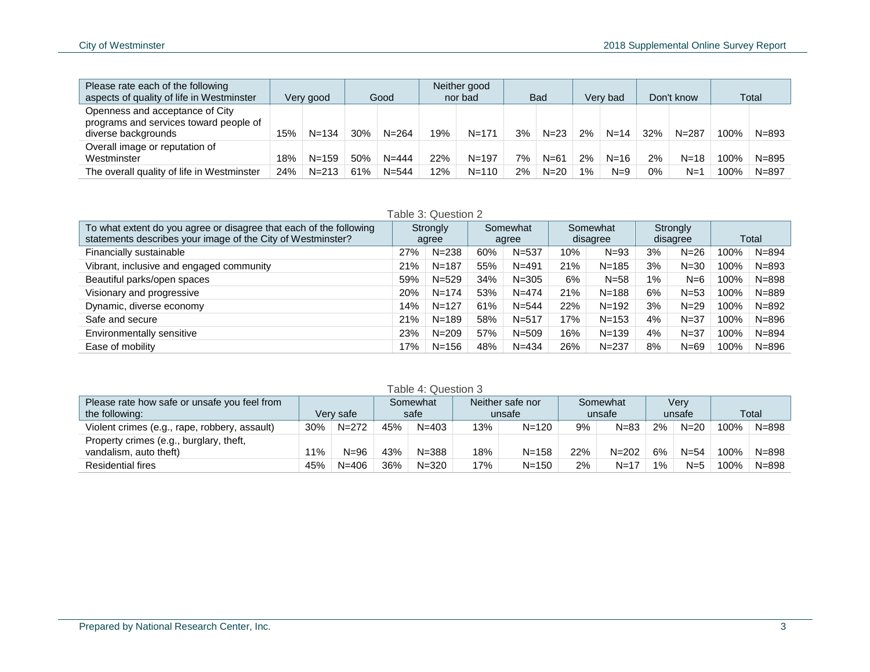| Please rate each of the following<br>aspects of quality of life in Westminster                   |     | Very good | Good |           |     | Neither good<br>nor bad |    | <b>Bad</b> |       | Very bad |       | Don't know |      | Total     |
|--------------------------------------------------------------------------------------------------|-----|-----------|------|-----------|-----|-------------------------|----|------------|-------|----------|-------|------------|------|-----------|
| Openness and acceptance of City<br>programs and services toward people of<br>diverse backgrounds | 15% | $N = 134$ | 30%  | $N = 264$ | 19% | $N = 171$               | 3% | $N = 23$   | 2%    | $N = 14$ | 32%   | $N = 287$  | 100% | $N = 893$ |
| Overall image or reputation of<br>Westminster                                                    | 18% | $N = 159$ | 50%  | $N = 444$ | 22% | $N = 197$               | 7% | $N = 61$   | 2%    | $N = 16$ | 2%    | $N = 18$   | 100% | $N = 895$ |
| The overall quality of life in Westminster                                                       | 24% | $N = 213$ | 61%  | $N = 544$ | 12% | $N = 110$               | 2% | $N=20$     | $1\%$ | $N=9$    | $0\%$ | $N=1$      | 100% | $N = 897$ |

#### Table 3: Question 2 To what extent do you agree or disagree that each of the following statements describes your image of the City of Westminster? **Strongly** agree Somewhat agree Somewhat disagree **Strongly** disagree Total Financially sustainable 27% N=238 60% N=537 10% N=93 3% N=26 100% N=894 Vibrant, inclusive and engaged community 21% N=187 55% N=491 21% N=185 3% N=30 100% N=893 Beautiful parks/open spaces 69% Notice 2008 Notice 100% Notice 34% Notice 34% Note 305 6% N=58 1% N=6 100% N=898 Visionary and progressive 20% N=174 53% N=474 21% N=188 6% N=53 100% N=889 Dynamic, diverse economy 14% N=127 61% N=544 22% N=192 3% N=29 100% N=892 Safe and secure 21% N=189 58% N=517 17% N=153 4% N=37 100% N=896 Environmentally sensitive 23% N=209 57% N=509 16% N=139 4% N=37 100% N=894 Ease of mobility 17% N=156 48% N=434 26% N=237 8% N=69 100% N=896

|  | Table 4: Question 3 |  |
|--|---------------------|--|
|--|---------------------|--|

| Please rate how safe or unsafe you feel from<br>the following:    |       | Verv safe | Somewhat<br>safe |           |     | Neither safe nor<br>unsafe |     | Somewhat<br>unsafe |       | Verv<br>unsafe | Total |           |
|-------------------------------------------------------------------|-------|-----------|------------------|-----------|-----|----------------------------|-----|--------------------|-------|----------------|-------|-----------|
| Violent crimes (e.g., rape, robbery, assault)                     | 30%   | $N = 272$ | 45%              | $N = 403$ | 13% | $N = 120$                  | 9%  | $N = 83$           | 2%    | $N = 20$       | 100%  | $N = 898$ |
| Property crimes (e.g., burglary, theft,<br>vandalism, auto theft) | $1\%$ | $N = 96$  | 43%              | $N = 388$ | 18% | $N = 158$                  | 22% | $N = 202$          | 6%    | $N = 54$       | 100%  | $N = 898$ |
| <b>Residential fires</b>                                          | 45%   | $N = 406$ | 36%              | $N = 320$ | 17% | $N = 150$                  | 2%  | $N = 17$           | $1\%$ | $N=5$          | 100%  | $N = 898$ |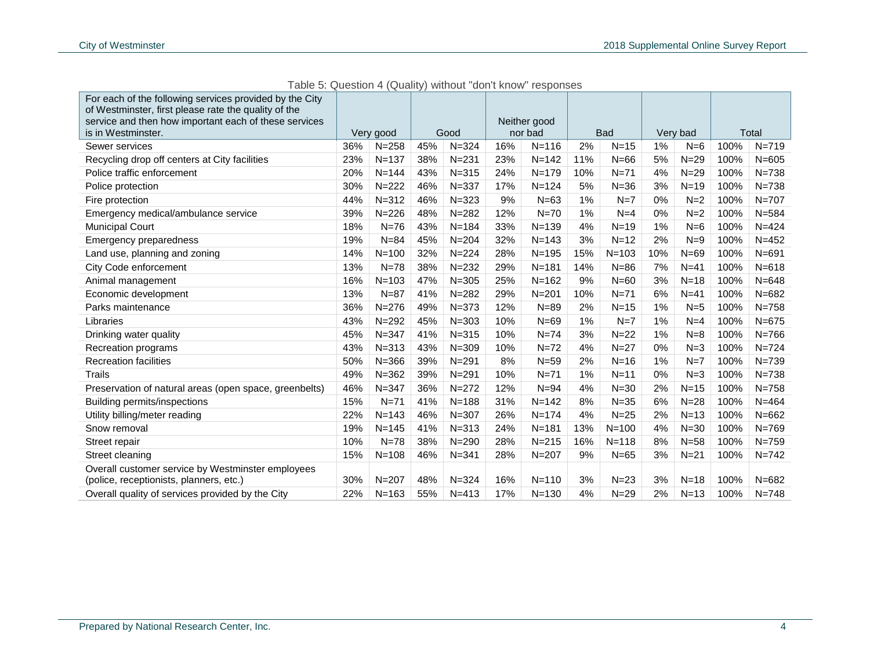| For each of the following services provided by the City<br>of Westminster, first please rate the quality of the<br>service and then how important each of these services<br>is in Westminster. |     | Very good |     | Good      |     | Neither good<br>nor bad |     | <b>Bad</b> |     | Very bad |      | Total     |
|------------------------------------------------------------------------------------------------------------------------------------------------------------------------------------------------|-----|-----------|-----|-----------|-----|-------------------------|-----|------------|-----|----------|------|-----------|
| Sewer services                                                                                                                                                                                 | 36% | $N = 258$ | 45% | $N = 324$ | 16% | $N = 116$               | 2%  | $N=15$     | 1%  | $N=6$    | 100% | $N = 719$ |
|                                                                                                                                                                                                |     |           | 38% | $N = 231$ | 23% | $N = 142$               | 11% | $N=66$     | 5%  | $N=29$   | 100% | $N = 605$ |
| Recycling drop off centers at City facilities                                                                                                                                                  | 23% | $N = 137$ |     |           |     |                         |     |            |     |          |      |           |
| Police traffic enforcement                                                                                                                                                                     | 20% | $N = 144$ | 43% | $N = 315$ | 24% | $N = 179$               | 10% | $N=71$     | 4%  | $N=29$   | 100% | $N = 738$ |
| Police protection                                                                                                                                                                              | 30% | $N = 222$ | 46% | $N = 337$ | 17% | $N = 124$               | 5%  | $N = 36$   | 3%  | $N=19$   | 100% | $N = 738$ |
| Fire protection                                                                                                                                                                                | 44% | $N = 312$ | 46% | $N = 323$ | 9%  | $N=63$                  | 1%  | $N=7$      | 0%  | $N=2$    | 100% | $N = 707$ |
| Emergency medical/ambulance service                                                                                                                                                            | 39% | $N = 226$ | 48% | $N = 282$ | 12% | $N = 70$                | 1%  | $N=4$      | 0%  | $N=2$    | 100% | $N = 584$ |
| <b>Municipal Court</b>                                                                                                                                                                         | 18% | $N = 76$  | 43% | $N = 184$ | 33% | $N = 139$               | 4%  | $N=19$     | 1%  | $N=6$    | 100% | $N = 424$ |
| Emergency preparedness                                                                                                                                                                         | 19% | $N = 84$  | 45% | $N = 204$ | 32% | $N = 143$               | 3%  | $N=12$     | 2%  | $N=9$    | 100% | $N = 452$ |
| Land use, planning and zoning                                                                                                                                                                  | 14% | $N = 100$ | 32% | $N = 224$ | 28% | $N = 195$               | 15% | $N = 103$  | 10% | $N=69$   | 100% | $N = 691$ |
| City Code enforcement                                                                                                                                                                          | 13% | $N = 78$  | 38% | $N = 232$ | 29% | $N = 181$               | 14% | $N=86$     | 7%  | $N=41$   | 100% | $N = 618$ |
| Animal management                                                                                                                                                                              | 16% | $N = 103$ | 47% | $N = 305$ | 25% | $N = 162$               | 9%  | $N=60$     | 3%  | $N=18$   | 100% | $N = 648$ |
| Economic development                                                                                                                                                                           | 13% | $N=87$    | 41% | $N = 282$ | 29% | $N = 201$               | 10% | $N=71$     | 6%  | $N=41$   | 100% | $N = 682$ |
| Parks maintenance                                                                                                                                                                              | 36% | $N = 276$ | 49% | $N = 373$ | 12% | $N = 89$                | 2%  | $N=15$     | 1%  | $N=5$    | 100% | $N = 758$ |
| Libraries                                                                                                                                                                                      | 43% | $N = 292$ | 45% | $N = 303$ | 10% | $N=69$                  | 1%  | $N=7$      | 1%  | $N=4$    | 100% | $N = 675$ |
| Drinking water quality                                                                                                                                                                         | 45% | $N = 347$ | 41% | $N = 315$ | 10% | $N=74$                  | 3%  | $N=22$     | 1%  | $N=8$    | 100% | $N = 766$ |
| Recreation programs                                                                                                                                                                            | 43% | $N = 313$ | 43% | $N = 309$ | 10% | $N = 72$                | 4%  | $N=27$     | 0%  | $N=3$    | 100% | $N = 724$ |
| <b>Recreation facilities</b>                                                                                                                                                                   | 50% | $N = 366$ | 39% | $N = 291$ | 8%  | $N = 59$                | 2%  | $N=16$     | 1%  | $N=7$    | 100% | $N = 739$ |
| Trails                                                                                                                                                                                         | 49% | $N = 362$ | 39% | $N = 291$ | 10% | $N=71$                  | 1%  | $N=11$     | 0%  | $N=3$    | 100% | $N = 738$ |
| Preservation of natural areas (open space, greenbelts)                                                                                                                                         | 46% | $N = 347$ | 36% | $N = 272$ | 12% | $N = 94$                | 4%  | $N = 30$   | 2%  | $N=15$   | 100% | $N = 758$ |
| Building permits/inspections                                                                                                                                                                   | 15% | $N=71$    | 41% | $N = 188$ | 31% | $N = 142$               | 8%  | $N = 35$   | 6%  | $N=28$   | 100% | $N = 464$ |
| Utility billing/meter reading                                                                                                                                                                  | 22% | $N = 143$ | 46% | $N = 307$ | 26% | $N = 174$               | 4%  | $N=25$     | 2%  | $N=13$   | 100% | $N = 662$ |
| Snow removal                                                                                                                                                                                   | 19% | $N = 145$ | 41% | $N = 313$ | 24% | $N = 181$               | 13% | $N = 100$  | 4%  | $N=30$   | 100% | $N = 769$ |
| Street repair                                                                                                                                                                                  | 10% | $N=78$    | 38% | $N = 290$ | 28% | $N = 215$               | 16% | $N = 118$  | 8%  | $N=58$   | 100% | $N = 759$ |
| Street cleaning                                                                                                                                                                                | 15% | $N = 108$ | 46% | $N = 341$ | 28% | $N = 207$               | 9%  | $N=65$     | 3%  | $N=21$   | 100% | $N = 742$ |
| Overall customer service by Westminster employees<br>(police, receptionists, planners, etc.)                                                                                                   | 30% | $N = 207$ | 48% | $N = 324$ | 16% | $N = 110$               | 3%  | $N = 23$   | 3%  | $N = 18$ | 100% | $N = 682$ |
| Overall quality of services provided by the City                                                                                                                                               | 22% | $N = 163$ | 55% | $N = 413$ | 17% | $N = 130$               | 4%  | $N=29$     | 2%  | $N=13$   | 100% | $N = 748$ |

Table 5: Question 4 (Quality) without "don't know" responses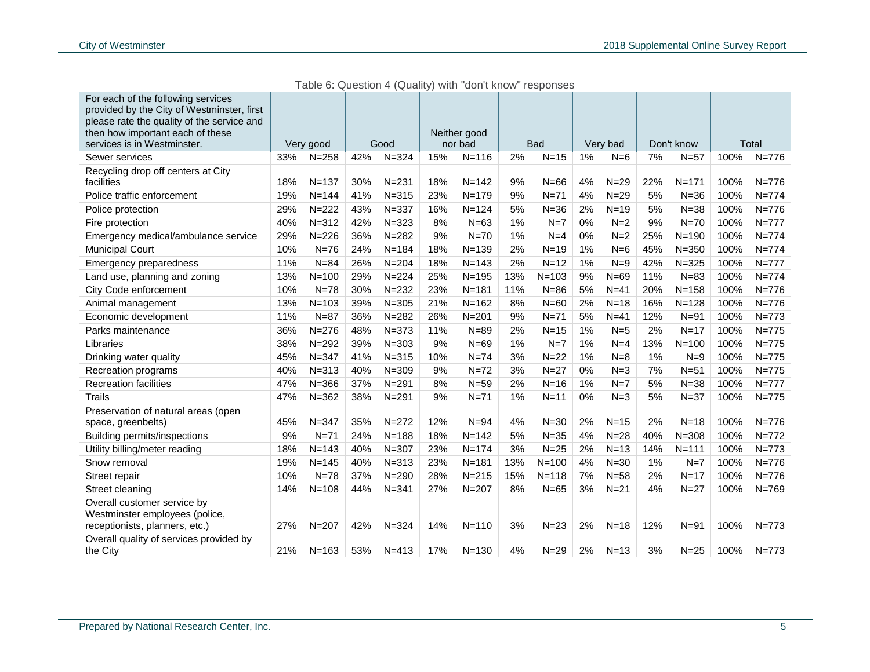| For each of the following services<br>provided by the City of Westminster, first<br>please rate the quality of the service and<br>then how important each of these<br>services is in Westminster. |     | Very good |     | Good      |     | Neither good<br>nor bad |     | <b>Bad</b> |    | Very bad |     | Don't know |      | Total     |
|---------------------------------------------------------------------------------------------------------------------------------------------------------------------------------------------------|-----|-----------|-----|-----------|-----|-------------------------|-----|------------|----|----------|-----|------------|------|-----------|
| Sewer services                                                                                                                                                                                    | 33% | $N = 258$ | 42% | $N = 324$ | 15% | $N = 116$               | 2%  | $N = 15$   | 1% | $N=6$    | 7%  | $N=57$     | 100% | $N = 776$ |
| Recycling drop off centers at City<br>facilities                                                                                                                                                  | 18% | $N = 137$ | 30% | $N = 231$ | 18% | $N = 142$               | 9%  | $N=66$     | 4% | $N=29$   | 22% | $N = 171$  | 100% | $N = 776$ |
| Police traffic enforcement                                                                                                                                                                        | 19% | $N = 144$ | 41% | $N = 315$ | 23% | $N = 179$               | 9%  | $N=71$     | 4% | $N=29$   | 5%  | $N = 36$   | 100% | $N = 774$ |
| Police protection                                                                                                                                                                                 | 29% | $N = 222$ | 43% | $N = 337$ | 16% | $N = 124$               | 5%  | $N = 36$   | 2% | $N=19$   | 5%  | $N = 38$   | 100% | $N = 776$ |
| Fire protection                                                                                                                                                                                   | 40% | $N = 312$ | 42% | $N = 323$ | 8%  | $N=63$                  | 1%  | $N=7$      | 0% | $N=2$    | 9%  | $N=70$     | 100% | $N = 777$ |
| Emergency medical/ambulance service                                                                                                                                                               | 29% | $N = 226$ | 36% | $N = 282$ | 9%  | $N=70$                  | 1%  | $N=4$      | 0% | $N=2$    | 25% | $N = 190$  | 100% | $N = 774$ |
| <b>Municipal Court</b>                                                                                                                                                                            | 10% | $N=76$    | 24% | $N = 184$ | 18% | $N = 139$               | 2%  | $N=19$     | 1% | $N=6$    | 45% | $N = 350$  | 100% | $N = 774$ |
| <b>Emergency preparedness</b>                                                                                                                                                                     | 11% | $N = 84$  | 26% | $N = 204$ | 18% | $N = 143$               | 2%  | $N=12$     | 1% | $N=9$    | 42% | $N = 325$  | 100% | $N = 777$ |
| Land use, planning and zoning                                                                                                                                                                     | 13% | $N = 100$ | 29% | $N = 224$ | 25% | $N = 195$               | 13% | $N = 103$  | 9% | $N=69$   | 11% | $N = 83$   | 100% | $N = 774$ |
| City Code enforcement                                                                                                                                                                             | 10% | $N=78$    | 30% | $N = 232$ | 23% | $N = 181$               | 11% | $N = 86$   | 5% | $N=41$   | 20% | $N = 158$  | 100% | $N = 776$ |
| Animal management                                                                                                                                                                                 | 13% | $N = 103$ | 39% | $N = 305$ | 21% | $N = 162$               | 8%  | $N=60$     | 2% | $N = 18$ | 16% | $N = 128$  | 100% | $N = 776$ |
| Economic development                                                                                                                                                                              | 11% | $N=87$    | 36% | $N = 282$ | 26% | $N = 201$               | 9%  | $N=71$     | 5% | $N=41$   | 12% | $N=91$     | 100% | $N = 773$ |
| Parks maintenance                                                                                                                                                                                 | 36% | $N = 276$ | 48% | $N = 373$ | 11% | $N = 89$                | 2%  | $N=15$     | 1% | $N=5$    | 2%  | $N=17$     | 100% | $N = 775$ |
| Libraries                                                                                                                                                                                         | 38% | $N = 292$ | 39% | $N = 303$ | 9%  | $N=69$                  | 1%  | $N=7$      | 1% | $N=4$    | 13% | $N = 100$  | 100% | $N = 775$ |
| Drinking water quality                                                                                                                                                                            | 45% | $N = 347$ | 41% | $N = 315$ | 10% | $N=74$                  | 3%  | $N=22$     | 1% | $N=8$    | 1%  | $N=9$      | 100% | $N = 775$ |
| Recreation programs                                                                                                                                                                               | 40% | $N = 313$ | 40% | $N = 309$ | 9%  | $N=72$                  | 3%  | $N=27$     | 0% | $N=3$    | 7%  | $N=51$     | 100% | $N = 775$ |
| <b>Recreation facilities</b>                                                                                                                                                                      | 47% | $N = 366$ | 37% | $N = 291$ | 8%  | $N=59$                  | 2%  | $N=16$     | 1% | $N=7$    | 5%  | $N = 38$   | 100% | $N = 777$ |
| <b>Trails</b>                                                                                                                                                                                     | 47% | $N = 362$ | 38% | $N = 291$ | 9%  | $N=71$                  | 1%  | $N=11$     | 0% | $N=3$    | 5%  | $N = 37$   | 100% | $N = 775$ |
| Preservation of natural areas (open<br>space, greenbelts)                                                                                                                                         | 45% | $N = 347$ | 35% | $N = 272$ | 12% | $N = 94$                | 4%  | $N = 30$   | 2% | $N=15$   | 2%  | $N=18$     | 100% | $N = 776$ |
| <b>Building permits/inspections</b>                                                                                                                                                               | 9%  | $N=71$    | 24% | $N = 188$ | 18% | $N = 142$               | 5%  | $N = 35$   | 4% | $N=28$   | 40% | $N = 308$  | 100% | $N = 772$ |
| Utility billing/meter reading                                                                                                                                                                     | 18% | $N = 143$ | 40% | $N = 307$ | 23% | $N = 174$               | 3%  | $N=25$     | 2% | $N=13$   | 14% | $N = 111$  | 100% | $N = 773$ |
| Snow removal                                                                                                                                                                                      | 19% | $N = 145$ | 40% | $N = 313$ | 23% | $N = 181$               | 13% | $N = 100$  | 4% | $N = 30$ | 1%  | $N=7$      | 100% | $N = 776$ |
| Street repair                                                                                                                                                                                     | 10% | $N = 78$  | 37% | $N = 290$ | 28% | $N = 215$               | 15% | $N = 118$  | 7% | $N=58$   | 2%  | $N=17$     | 100% | $N = 776$ |
| Street cleaning                                                                                                                                                                                   | 14% | $N = 108$ | 44% | $N = 341$ | 27% | $N = 207$               | 8%  | $N=65$     | 3% | $N=21$   | 4%  | $N=27$     | 100% | $N = 769$ |
| Overall customer service by<br>Westminster employees (police,<br>receptionists, planners, etc.)                                                                                                   | 27% | $N = 207$ | 42% | $N = 324$ | 14% | $N = 110$               | 3%  | $N = 23$   | 2% | $N = 18$ | 12% | $N=91$     | 100% | $N = 773$ |
| Overall quality of services provided by<br>the City                                                                                                                                               | 21% | $N = 163$ | 53% | $N = 413$ | 17% | $N = 130$               | 4%  | $N = 29$   | 2% | $N=13$   | 3%  | $N=25$     | 100% | $N = 773$ |

Table 6: Question 4 (Quality) with "don't know" responses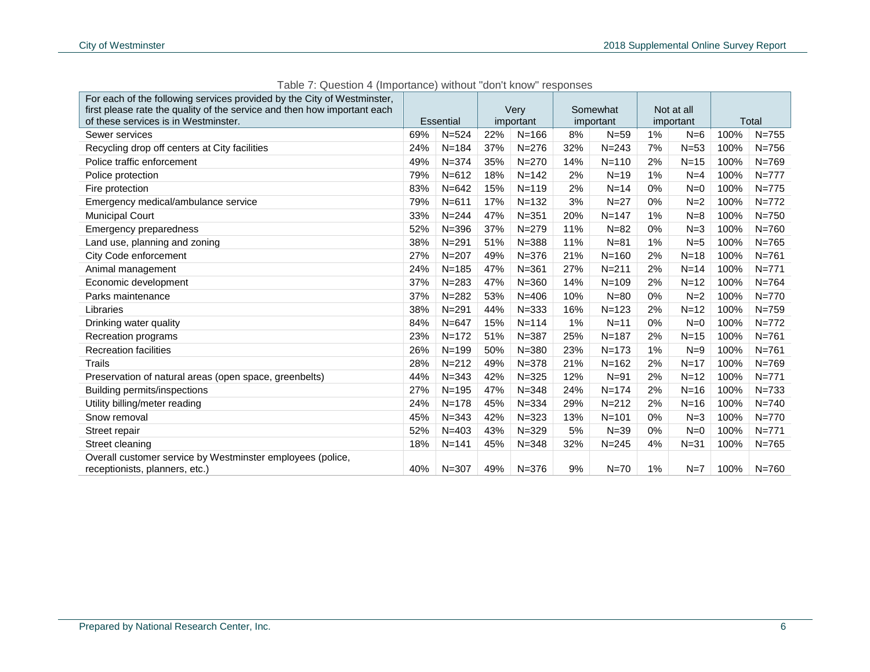| For each of the following services provided by the City of Westminster,                      |     |                  |     |           |     |           |       |            |      |           |
|----------------------------------------------------------------------------------------------|-----|------------------|-----|-----------|-----|-----------|-------|------------|------|-----------|
| first please rate the quality of the service and then how important each                     |     |                  |     | Very      |     | Somewhat  |       | Not at all |      |           |
| of these services is in Westminster.                                                         |     | <b>Essential</b> |     | important |     | important |       | important  |      | Total     |
| Sewer services                                                                               | 69% | $N = 524$        | 22% | $N = 166$ | 8%  | $N = 59$  | 1%    | $N=6$      | 100% | $N = 755$ |
| Recycling drop off centers at City facilities                                                | 24% | $N = 184$        | 37% | $N = 276$ | 32% | $N = 243$ | 7%    | $N=53$     | 100% | $N = 756$ |
| Police traffic enforcement                                                                   | 49% | $N = 374$        | 35% | $N = 270$ | 14% | $N = 110$ | 2%    | $N=15$     | 100% | $N = 769$ |
| Police protection                                                                            | 79% | $N = 612$        | 18% | $N = 142$ | 2%  | $N = 19$  | 1%    | $N=4$      | 100% | $N = 777$ |
| Fire protection                                                                              | 83% | $N = 642$        | 15% | $N = 119$ | 2%  | $N=14$    | 0%    | $N=0$      | 100% | $N = 775$ |
| Emergency medical/ambulance service                                                          | 79% | $N = 611$        | 17% | $N = 132$ | 3%  | $N = 27$  | 0%    | $N=2$      | 100% | $N = 772$ |
| <b>Municipal Court</b>                                                                       | 33% | $N = 244$        | 47% | $N = 351$ | 20% | $N = 147$ | 1%    | $N=8$      | 100% | $N = 750$ |
| <b>Emergency preparedness</b>                                                                | 52% | $N = 396$        | 37% | $N = 279$ | 11% | $N=82$    | 0%    | $N=3$      | 100% | $N = 760$ |
| Land use, planning and zoning                                                                | 38% | $N = 291$        | 51% | $N = 388$ | 11% | $N = 81$  | 1%    | $N=5$      | 100% | $N = 765$ |
| City Code enforcement                                                                        | 27% | $N = 207$        | 49% | $N = 376$ | 21% | $N = 160$ | 2%    | $N=18$     | 100% | $N = 761$ |
| Animal management                                                                            | 24% | $N = 185$        | 47% | $N = 361$ | 27% | $N = 211$ | 2%    | $N=14$     | 100% | $N = 771$ |
| Economic development                                                                         | 37% | $N = 283$        | 47% | $N = 360$ | 14% | $N = 109$ | 2%    | $N=12$     | 100% | $N = 764$ |
| Parks maintenance                                                                            | 37% | $N = 282$        | 53% | $N = 406$ | 10% | $N = 80$  | 0%    | $N=2$      | 100% | $N = 770$ |
| Libraries                                                                                    | 38% | $N = 291$        | 44% | $N = 333$ | 16% | $N = 123$ | 2%    | $N=12$     | 100% | $N = 759$ |
| Drinking water quality                                                                       | 84% | $N = 647$        | 15% | $N = 114$ | 1%  | $N=11$    | 0%    | $N=0$      | 100% | $N = 772$ |
| Recreation programs                                                                          | 23% | $N = 172$        | 51% | $N = 387$ | 25% | $N = 187$ | 2%    | $N=15$     | 100% | $N = 761$ |
| <b>Recreation facilities</b>                                                                 | 26% | $N = 199$        | 50% | $N = 380$ | 23% | $N = 173$ | 1%    | $N=9$      | 100% | $N = 761$ |
| <b>Trails</b>                                                                                | 28% | $N = 212$        | 49% | $N = 378$ | 21% | $N = 162$ | 2%    | $N=17$     | 100% | $N = 769$ |
| Preservation of natural areas (open space, greenbelts)                                       | 44% | $N = 343$        | 42% | $N = 325$ | 12% | $N = 91$  | 2%    | $N = 12$   | 100% | $N = 771$ |
| Building permits/inspections                                                                 | 27% | $N = 195$        | 47% | $N = 348$ | 24% | $N = 174$ | 2%    | $N=16$     | 100% | $N = 733$ |
| Utility billing/meter reading                                                                | 24% | $N = 178$        | 45% | $N = 334$ | 29% | $N = 212$ | 2%    | $N=16$     | 100% | $N = 740$ |
| Snow removal                                                                                 | 45% | $N = 343$        | 42% | $N = 323$ | 13% | $N = 101$ | 0%    | $N = 3$    | 100% | $N = 770$ |
| Street repair                                                                                | 52% | $N = 403$        | 43% | $N = 329$ | 5%  | $N = 39$  | $0\%$ | $N=0$      | 100% | $N = 771$ |
| Street cleaning                                                                              | 18% | $N = 141$        | 45% | $N = 348$ | 32% | $N = 245$ | 4%    | $N = 31$   | 100% | $N = 765$ |
| Overall customer service by Westminster employees (police,<br>receptionists, planners, etc.) | 40% | $N = 307$        | 49% | $N = 376$ | 9%  | $N = 70$  | 1%    | $N=7$      | 100% | $N = 760$ |

Table 7: Question 4 (Importance) without "don't know" responses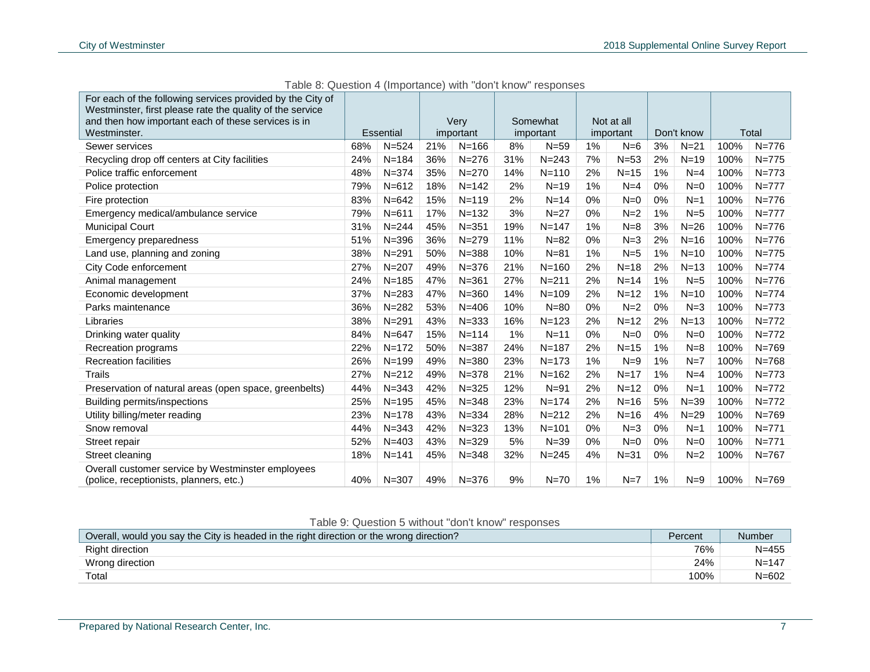| For each of the following services provided by the City of<br>Westminster, first please rate the quality of the service<br>and then how important each of these services is in<br>Westminster. |     | Essential |     | Verv<br>important |     | Somewhat<br>important |    | Not at all<br>important |    | Don't know |      | Total     |
|------------------------------------------------------------------------------------------------------------------------------------------------------------------------------------------------|-----|-----------|-----|-------------------|-----|-----------------------|----|-------------------------|----|------------|------|-----------|
| Sewer services                                                                                                                                                                                 | 68% | $N = 524$ | 21% | $N = 166$         | 8%  | $N = 59$              | 1% | $N=6$                   | 3% | $N=21$     | 100% | $N = 776$ |
| Recycling drop off centers at City facilities                                                                                                                                                  | 24% | $N = 184$ | 36% | $N = 276$         | 31% | $N = 243$             | 7% | $N=53$                  | 2% | $N=19$     | 100% | $N = 775$ |
| Police traffic enforcement                                                                                                                                                                     | 48% | $N = 374$ | 35% | $N = 270$         | 14% | $N = 110$             | 2% | $N=15$                  | 1% | $N=4$      | 100% | $N = 773$ |
| Police protection                                                                                                                                                                              | 79% | $N = 612$ | 18% | $N = 142$         | 2%  | $N=19$                | 1% | $N=4$                   | 0% | $N=0$      | 100% | $N = 777$ |
| Fire protection                                                                                                                                                                                | 83% | $N = 642$ | 15% | $N = 119$         | 2%  | $N=14$                | 0% | $N=0$                   | 0% | $N=1$      | 100% | $N = 776$ |
| Emergency medical/ambulance service                                                                                                                                                            | 79% | $N = 611$ | 17% | $N = 132$         | 3%  | $N=27$                | 0% | $N=2$                   | 1% | $N=5$      | 100% | $N = 777$ |
| <b>Municipal Court</b>                                                                                                                                                                         | 31% | $N = 244$ | 45% | $N = 351$         | 19% | $N = 147$             | 1% | $N=8$                   | 3% | $N=26$     | 100% | $N = 776$ |
| <b>Emergency preparedness</b>                                                                                                                                                                  | 51% | $N = 396$ | 36% | $N = 279$         | 11% | $N = 82$              | 0% | $N=3$                   | 2% | $N=16$     | 100% | $N = 776$ |
| Land use, planning and zoning                                                                                                                                                                  | 38% | $N = 291$ | 50% | $N = 388$         | 10% | $N = 81$              | 1% | $N=5$                   | 1% | $N=10$     | 100% | $N = 775$ |
| City Code enforcement                                                                                                                                                                          | 27% | $N = 207$ | 49% | $N = 376$         | 21% | $N = 160$             | 2% | $N=18$                  | 2% | $N=13$     | 100% | $N = 774$ |
| Animal management                                                                                                                                                                              | 24% | $N = 185$ | 47% | $N = 361$         | 27% | $N = 211$             | 2% | $N=14$                  | 1% | $N=5$      | 100% | $N = 776$ |
| Economic development                                                                                                                                                                           | 37% | $N = 283$ | 47% | $N = 360$         | 14% | $N = 109$             | 2% | $N=12$                  | 1% | $N=10$     | 100% | $N = 774$ |
| Parks maintenance                                                                                                                                                                              | 36% | $N = 282$ | 53% | $N = 406$         | 10% | $N=80$                | 0% | $N=2$                   | 0% | $N=3$      | 100% | $N = 773$ |
| Libraries                                                                                                                                                                                      | 38% | $N = 291$ | 43% | $N = 333$         | 16% | $N = 123$             | 2% | $N=12$                  | 2% | $N=13$     | 100% | $N = 772$ |
| Drinking water quality                                                                                                                                                                         | 84% | $N = 647$ | 15% | $N = 114$         | 1%  | $N=11$                | 0% | $N=0$                   | 0% | $N=0$      | 100% | $N = 772$ |
| Recreation programs                                                                                                                                                                            | 22% | $N = 172$ | 50% | $N = 387$         | 24% | $N = 187$             | 2% | $N=15$                  | 1% | $N=8$      | 100% | $N = 769$ |
| <b>Recreation facilities</b>                                                                                                                                                                   | 26% | $N = 199$ | 49% | $N = 380$         | 23% | $N = 173$             | 1% | $N=9$                   | 1% | $N=7$      | 100% | $N = 768$ |
| <b>Trails</b>                                                                                                                                                                                  | 27% | $N = 212$ | 49% | $N = 378$         | 21% | $N = 162$             | 2% | $N=17$                  | 1% | $N=4$      | 100% | $N = 773$ |
| Preservation of natural areas (open space, greenbelts)                                                                                                                                         | 44% | $N = 343$ | 42% | $N = 325$         | 12% | $N=91$                | 2% | $N=12$                  | 0% | $N=1$      | 100% | $N = 772$ |
| Building permits/inspections                                                                                                                                                                   | 25% | $N = 195$ | 45% | $N = 348$         | 23% | $N = 174$             | 2% | $N=16$                  | 5% | $N = 39$   | 100% | $N = 772$ |
| Utility billing/meter reading                                                                                                                                                                  | 23% | $N = 178$ | 43% | $N = 334$         | 28% | $N = 212$             | 2% | $N=16$                  | 4% | $N=29$     | 100% | $N = 769$ |
| Snow removal                                                                                                                                                                                   | 44% | $N = 343$ | 42% | $N = 323$         | 13% | $N = 101$             | 0% | $N=3$                   | 0% | $N=1$      | 100% | $N = 771$ |
| Street repair                                                                                                                                                                                  | 52% | $N = 403$ | 43% | $N = 329$         | 5%  | $N = 39$              | 0% | $N=0$                   | 0% | $N=0$      | 100% | $N = 771$ |
| Street cleaning                                                                                                                                                                                | 18% | $N = 141$ | 45% | $N = 348$         | 32% | $N = 245$             | 4% | $N = 31$                | 0% | $N=2$      | 100% | $N = 767$ |
| Overall customer service by Westminster employees<br>(police, receptionists, planners, etc.)                                                                                                   | 40% | $N = 307$ | 49% | $N = 376$         | 9%  | $N=70$                | 1% | $N=7$                   | 1% | $N=9$      | 100% | $N = 769$ |

Table 8: Question 4 (Importance) with "don't know" responses

### Table 9: Question 5 without "don't know" responses

| Overall, would you say the City is headed in the right direction or the wrong direction? | Percent | <b>Number</b> |
|------------------------------------------------------------------------------------------|---------|---------------|
| <b>Right direction</b>                                                                   | 76%     | $N = 455$     |
| Wrong direction                                                                          | 24%     | $N = 147$     |
| Total                                                                                    | 100%    | $N = 602$     |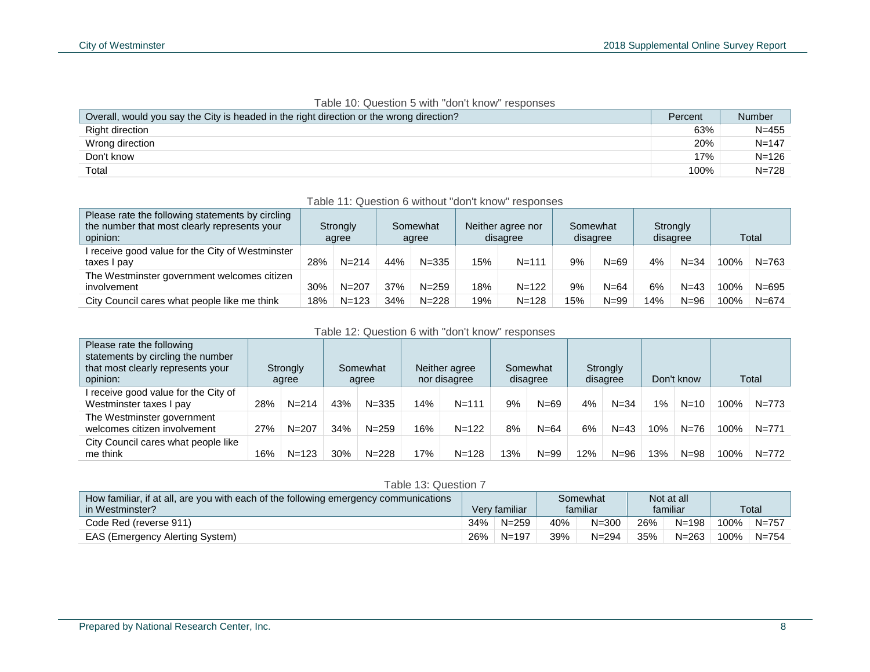| Overall, would you say the City is headed in the right direction or the wrong direction? | Percent | Number    |
|------------------------------------------------------------------------------------------|---------|-----------|
| Right direction                                                                          | 63%     | $N = 455$ |
| Wrong direction                                                                          | 20%     | $N = 147$ |
| Don't know                                                                               | 17%     | $N = 126$ |
| Total                                                                                    | 100%    | $N = 728$ |

#### Table 10: Question 5 with "don't know" responses

| Table 11: Question 6 without "don't know" responses                                                          |     |                   |     |                   |     |                               |     |                      |     |                      |      |           |
|--------------------------------------------------------------------------------------------------------------|-----|-------------------|-----|-------------------|-----|-------------------------------|-----|----------------------|-----|----------------------|------|-----------|
| Please rate the following statements by circling<br>the number that most clearly represents your<br>opinion: |     | Strongly<br>agree |     | Somewhat<br>agree |     | Neither agree nor<br>disagree |     | Somewhat<br>disagree |     | Strongly<br>disagree |      | Total     |
| I receive good value for the City of Westminster<br>taxes I pay                                              | 28% | $N = 214$         | 44% | $N = 335$         | 15% | $N = 111$                     | 9%  | $N = 69$             | 4%  | $N = 34$             | 100% | $N = 763$ |
| The Westminster government welcomes citizen<br>involvement                                                   | 30% | $N = 207$         | 37% | $N = 259$         | 18% | $N = 122$                     | 9%  | $N = 64$             | 6%  | $N = 43$             | 100% | $N = 695$ |
| City Council cares what people like me think                                                                 | 18% | $N = 123$         | 34% | $N = 228$         | 19% | $N = 128$                     | 15% | $N = 99$             | 14% | $N = 96$             | 100% | $N = 674$ |

#### Table 12: Question 6 with "don't know" responses

| Please rate the following<br>statements by circling the number<br>that most clearly represents your<br>opinion: |     | Strongly<br>agree |     | Somewhat<br>agree |     | Neither agree<br>nor disagree |     | Somewhat<br>disagree |        | Strongly<br>disagree |       | Don't know |      | Total     |
|-----------------------------------------------------------------------------------------------------------------|-----|-------------------|-----|-------------------|-----|-------------------------------|-----|----------------------|--------|----------------------|-------|------------|------|-----------|
| I receive good value for the City of<br>Westminster taxes I pay                                                 | 28% | $N = 214$         | 43% | $N = 335$         | 14% | $N = 111$                     | 9%  | $N=69$               | 4%     | $N = 34$             | $1\%$ | $N = 10$   | 100% | $N = 773$ |
| The Westminster government<br>welcomes citizen involvement                                                      | 27% | $N = 207$         | 34% | $N = 259$         | 16% | $N = 122$                     | 8%  | $N = 64$             | 6%     | $N=43$               | 10%   | $N = 76$   | 100% | $N = 771$ |
| City Council cares what people like<br>me think                                                                 | 16% | $N = 123$         | 30% | $N = 228$         | 17% | $N = 128$                     | 13% | $N = 99$             | $12\%$ | $N = 96$             | 13%   | $N = 98$   | 100% | $N=772$   |

#### Table 13: Question 7

| How familiar, if at all, are you with each of the following emergency communications | Not at all<br>Somewhat |               |     |           |     |           |      |           |
|--------------------------------------------------------------------------------------|------------------------|---------------|-----|-----------|-----|-----------|------|-----------|
| in Westminster?                                                                      |                        | Verv familiar |     | familiar  |     | familiar  |      | Total     |
| Code Red (reverse 911)                                                               | 34%                    | $N = 259$     | 40% | $N = 300$ | 26% | $N = 198$ | 100% | $N=757$   |
| EAS (Emergency Alerting System)                                                      | 26%                    | $N = 197$     | 39% | N=294     | 35% | $N = 263$ | 100% | $N = 754$ |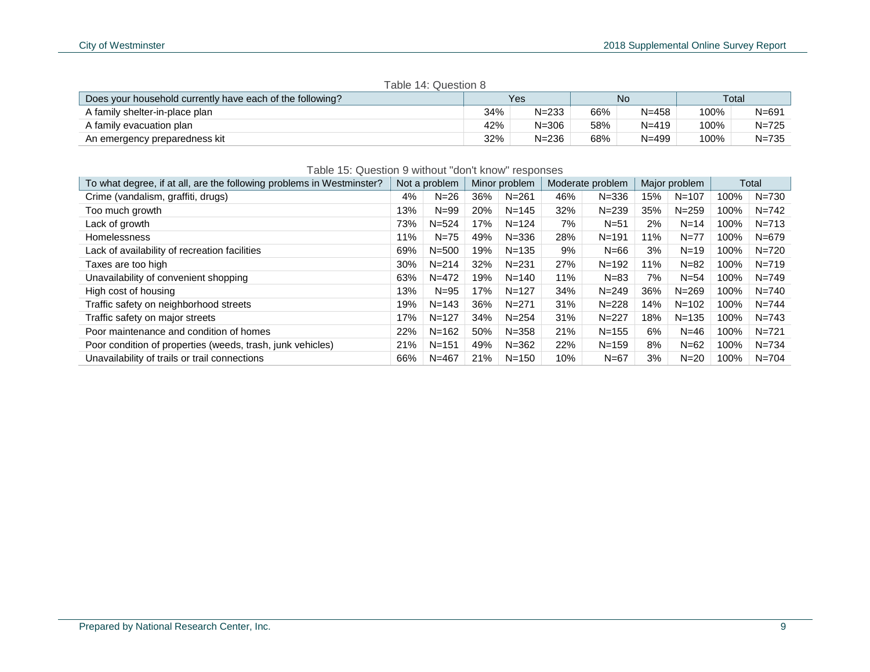| Table 14: Question 8                                      |     |           |     |           |      |           |  |  |  |
|-----------------------------------------------------------|-----|-----------|-----|-----------|------|-----------|--|--|--|
| Does your household currently have each of the following? |     | Yes       |     | No.       |      | Total     |  |  |  |
| A family shelter-in-place plan                            | 34% | $N = 233$ | 66% | $N = 458$ | 100% | $N = 691$ |  |  |  |
| A family evacuation plan                                  | 42% | $N = 306$ | 58% | $N = 419$ | 100% | $N = 725$ |  |  |  |
| An emergency preparedness kit                             | 32% | $N = 236$ | 68% | $N = 499$ | 100% | N=735     |  |  |  |

| $\sim$ $\sim$ | . .<br>$\overline{\phantom{0}}$ |
|---------------|---------------------------------|
|               |                                 |
|               |                                 |
|               |                                 |

| Table 15: Question 9 without "don't know" responses                   |     |               |     |               |     |                  |     |               |      |           |
|-----------------------------------------------------------------------|-----|---------------|-----|---------------|-----|------------------|-----|---------------|------|-----------|
| To what degree, if at all, are the following problems in Westminster? |     | Not a problem |     | Minor problem |     | Moderate problem |     | Major problem |      | Total     |
| Crime (vandalism, graffiti, drugs)                                    | 4%  | $N=26$        | 36% | $N = 261$     | 46% | $N = 336$        | 15% | $N = 107$     | 100% | N=730     |
| Too much growth                                                       | 13% | $N = 99$      | 20% | $N = 145$     | 32% | $N = 239$        | 35% | $N = 259$     | 100% | $N = 742$ |
| Lack of growth                                                        | 73% | $N = 524$     | 17% | $N = 124$     | 7%  | $N = 51$         | 2%  | $N = 14$      | 100% | $N = 713$ |
| Homelessness                                                          | 11% | $N=75$        | 49% | $N = 336$     | 28% | $N = 191$        | 11% | $N = 77$      | 100% | $N = 679$ |
| Lack of availability of recreation facilities                         | 69% | $N = 500$     | 19% | $N = 135$     | 9%  | $N=66$           | 3%  | $N = 19$      | 100% | $N = 720$ |
| Taxes are too high                                                    | 30% | $N = 214$     | 32% | $N = 231$     | 27% | $N = 192$        | 11% | $N = 82$      | 100% | $N = 719$ |
| Unavailability of convenient shopping                                 | 63% | $N = 472$     | 19% | $N = 140$     | 11% | $N = 83$         | 7%  | $N = 54$      | 100% | $N = 749$ |
| High cost of housing                                                  | 13% | $N = 95$      | 17% | $N = 127$     | 34% | $N = 249$        | 36% | $N = 269$     | 100% | $N = 740$ |
| Traffic safety on neighborhood streets                                | 19% | $N = 143$     | 36% | $N = 271$     | 31% | $N = 228$        | 14% | $N = 102$     | 100% | $N = 744$ |
| Traffic safety on major streets                                       | 17% | $N = 127$     | 34% | $N = 254$     | 31% | $N = 227$        | 18% | $N = 135$     | 100% | $N = 743$ |
| Poor maintenance and condition of homes                               | 22% | $N = 162$     | 50% | $N = 358$     | 21% | $N = 155$        | 6%  | $N = 46$      | 100% | $N = 721$ |
| Poor condition of properties (weeds, trash, junk vehicles)            | 21% | $N = 151$     | 49% | $N = 362$     | 22% | $N = 159$        | 8%  | $N = 62$      | 100% | $N = 734$ |
| Unavailability of trails or trail connections                         | 66% | $N = 467$     | 21% | $N = 150$     | 10% | $N=67$           | 3%  | $N=20$        | 100% | $N = 704$ |

#### Prepared by National Research Center, Inc. 9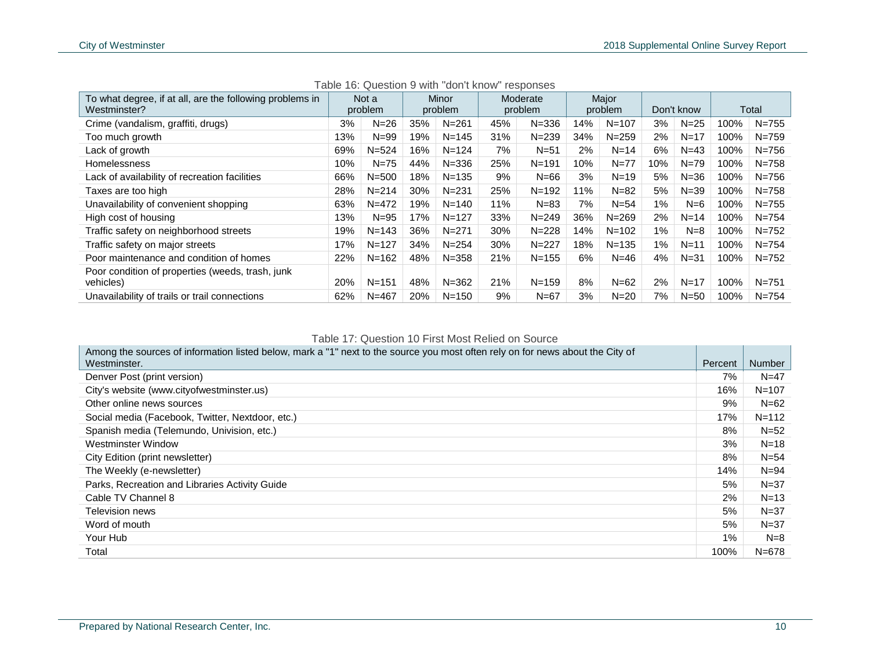| To what degree, if at all, are the following problems in<br>Westminster? |     | Not a<br>problem |     | Minor<br>problem |     | Moderate<br>problem |     | Major<br>problem |       | Don't know |      | Total     |
|--------------------------------------------------------------------------|-----|------------------|-----|------------------|-----|---------------------|-----|------------------|-------|------------|------|-----------|
|                                                                          |     |                  |     |                  |     |                     |     |                  |       |            |      |           |
| Crime (vandalism, graffiti, drugs)                                       | 3%  | $N=26$           | 35% | $N = 261$        | 45% | $N = 336$           | 14% | $N = 107$        | 3%    | $N = 25$   | 100% | $N = 755$ |
| Too much growth                                                          | 13% | $N = 99$         | 19% | $N = 145$        | 31% | $N = 239$           | 34% | $N = 259$        | 2%    | $N = 17$   | 100% | $N = 759$ |
| Lack of growth                                                           | 69% | $N = 524$        | 16% | $N = 124$        | 7%  | $N = 51$            | 2%  | $N = 14$         | 6%    | $N = 43$   | 100% | $N = 756$ |
| <b>Homelessness</b>                                                      | 10% | $N=75$           | 44% | $N = 336$        | 25% | $N = 191$           | 10% | $N = 77$         | 10%   | $N = 79$   | 100% | $N = 758$ |
| Lack of availability of recreation facilities                            | 66% | $N = 500$        | 18% | $N = 135$        | 9%  | $N=66$              | 3%  | $N=19$           | 5%    | $N = 36$   | 100% | $N = 756$ |
| Taxes are too high                                                       | 28% | $N = 214$        | 30% | $N = 231$        | 25% | $N = 192$           | 11% | $N=82$           | 5%    | $N = 39$   | 100% | $N = 758$ |
| Unavailability of convenient shopping                                    | 63% | $N = 472$        | 19% | $N = 140$        | 11% | $N = 83$            | 7%  | $N = 54$         | 1%    | $N=6$      | 100% | $N = 755$ |
| High cost of housing                                                     | 13% | $N = 95$         | 17% | $N = 127$        | 33% | $N = 249$           | 36% | $N = 269$        | 2%    | $N = 14$   | 100% | $N = 754$ |
| Traffic safety on neighborhood streets                                   | 19% | $N = 143$        | 36% | $N = 271$        | 30% | $N = 228$           | 14% | $N = 102$        | $1\%$ | $N=8$      | 100% | $N = 752$ |
| Traffic safety on major streets                                          | 17% | $N = 127$        | 34% | $N = 254$        | 30% | $N = 227$           | 18% | $N = 135$        | 1%    | $N = 11$   | 100% | $N = 754$ |
| Poor maintenance and condition of homes                                  | 22% | $N = 162$        | 48% | $N = 358$        | 21% | $N = 155$           | 6%  | $N = 46$         | 4%    | $N = 31$   | 100% | $N = 752$ |
| Poor condition of properties (weeds, trash, junk<br>vehicles)            | 20% | $N = 151$        | 48% | $N = 362$        | 21% | $N = 159$           | 8%  | $N=62$           | 2%    | $N=17$     | 100% | $N = 751$ |
| Unavailability of trails or trail connections                            | 62% | $N = 467$        | 20% | $N = 150$        | 9%  | $N=67$              | 3%  | $N=20$           | 7%    | $N = 50$   | 100% | $N = 754$ |

Table 16: Question 9 with "don't know" responses

#### Table 17: Question 10 First Most Relied on Source

| Among the sources of information listed below, mark a "1" next to the source you most often rely on for news about the City of |         |               |
|--------------------------------------------------------------------------------------------------------------------------------|---------|---------------|
| Westminster.                                                                                                                   | Percent | <b>Number</b> |
| Denver Post (print version)                                                                                                    | 7%      | $N = 47$      |
| City's website (www.cityofwestminster.us)                                                                                      | 16%     | $N = 107$     |
| Other online news sources                                                                                                      | 9%      | $N=62$        |
| Social media (Facebook, Twitter, Nextdoor, etc.)                                                                               | 17%     | $N = 112$     |
| Spanish media (Telemundo, Univision, etc.)                                                                                     | 8%      | $N=52$        |
| Westminster Window                                                                                                             | 3%      | $N = 18$      |
| City Edition (print newsletter)                                                                                                | 8%      | $N = 54$      |
| The Weekly (e-newsletter)                                                                                                      | 14%     | $N = 94$      |
| Parks, Recreation and Libraries Activity Guide                                                                                 | 5%      | $N = 37$      |
| Cable TV Channel 8                                                                                                             | 2%      | $N=13$        |
| Television news                                                                                                                | 5%      | $N = 37$      |
| Word of mouth                                                                                                                  | 5%      | $N = 37$      |
| Your Hub                                                                                                                       | $1\%$   | $N=8$         |
| Total                                                                                                                          | 100%    | $N = 678$     |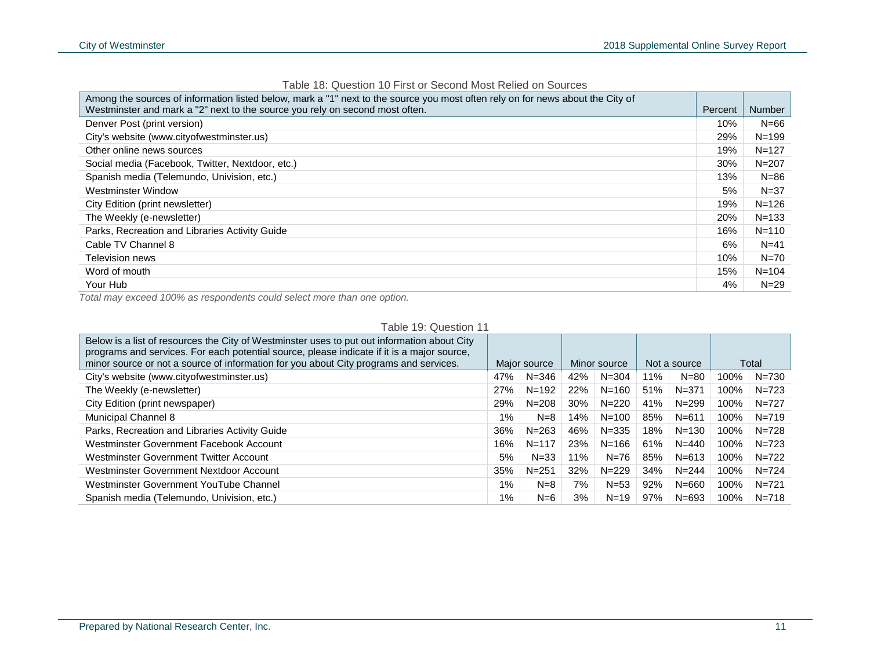| Among the sources of information listed below, mark a "1" next to the source you most often rely on for news about the City of<br>Westminster and mark a "2" next to the source you rely on second most often. | Percent | Number    |
|----------------------------------------------------------------------------------------------------------------------------------------------------------------------------------------------------------------|---------|-----------|
| Denver Post (print version)                                                                                                                                                                                    | 10%     | $N=66$    |
| City's website (www.cityofwestminster.us)                                                                                                                                                                      | 29%     | $N = 199$ |
| Other online news sources                                                                                                                                                                                      | 19%     | $N = 127$ |
| Social media (Facebook, Twitter, Nextdoor, etc.)                                                                                                                                                               | 30%     | $N = 207$ |
| Spanish media (Telemundo, Univision, etc.)                                                                                                                                                                     | 13%     | $N = 86$  |
| Westminster Window                                                                                                                                                                                             | 5%      | $N = 37$  |
| City Edition (print newsletter)                                                                                                                                                                                | 19%     | $N = 126$ |
| The Weekly (e-newsletter)                                                                                                                                                                                      | 20%     | $N = 133$ |
| Parks, Recreation and Libraries Activity Guide                                                                                                                                                                 | 16%     | $N = 110$ |
| Cable TV Channel 8                                                                                                                                                                                             | 6%      | $N=41$    |
| <b>Television news</b>                                                                                                                                                                                         | 10%     | $N = 70$  |
| Word of mouth                                                                                                                                                                                                  | 15%     | $N = 104$ |
| Your Hub                                                                                                                                                                                                       | 4%      | $N=29$    |

Table 18: Question 10 First or Second Most Relied on Sources

*Total may exceed 100% as respondents could select more than one option.*

#### Table 19: Question 11

| Below is a list of resources the City of Westminster uses to put out information about City<br>programs and services. For each potential source, please indicate if it is a major source, |       |              |              |           |              |           |      |           |
|-------------------------------------------------------------------------------------------------------------------------------------------------------------------------------------------|-------|--------------|--------------|-----------|--------------|-----------|------|-----------|
| minor source or not a source of information for you about City programs and services.                                                                                                     |       | Major source | Minor source |           | Not a source |           |      | Total     |
| City's website (www.cityofwestminster.us)                                                                                                                                                 | 47%   | N=346        | 42%          | $N = 304$ | 11%          | $N = 80$  | 100% | $N = 730$ |
| The Weekly (e-newsletter)                                                                                                                                                                 | 27%   | $N = 192$    | 22%          | $N = 160$ | 51%          | $N = 371$ | 100% | $N = 723$ |
| City Edition (print newspaper)                                                                                                                                                            | 29%   | $N = 208$    | 30%          | $N = 220$ | 41%          | $N = 299$ | 100% | $N = 727$ |
| Municipal Channel 8                                                                                                                                                                       | 1%    | $N=8$        | 14%          | $N = 100$ | 85%          | $N = 611$ | 100% | $N = 719$ |
| Parks, Recreation and Libraries Activity Guide                                                                                                                                            | 36%   | $N = 263$    | 46%          | $N = 335$ | 18%          | $N = 130$ | 100% | $N = 728$ |
| Westminster Government Facebook Account                                                                                                                                                   | 16%   | $N = 117$    | 23%          | $N = 166$ | 61%          | $N = 440$ | 100% | $N = 723$ |
| Westminster Government Twitter Account                                                                                                                                                    | 5%    | $N = 33$     | 11%          | $N = 76$  | 85%          | $N = 613$ | 100% | $N=722$   |
| Westminster Government Nextdoor Account                                                                                                                                                   | 35%   | $N = 251$    | 32%          | $N = 229$ | 34%          | $N = 244$ | 100% | $N = 724$ |
| Westminster Government YouTube Channel                                                                                                                                                    | $1\%$ | $N=8$        | 7%           | $N=53$    | 92%          | $N = 660$ | 100% | $N = 721$ |
| Spanish media (Telemundo, Univision, etc.)                                                                                                                                                | $1\%$ | $N=6$        | 3%           | $N = 19$  | 97%          | $N = 693$ | 100% | $N = 718$ |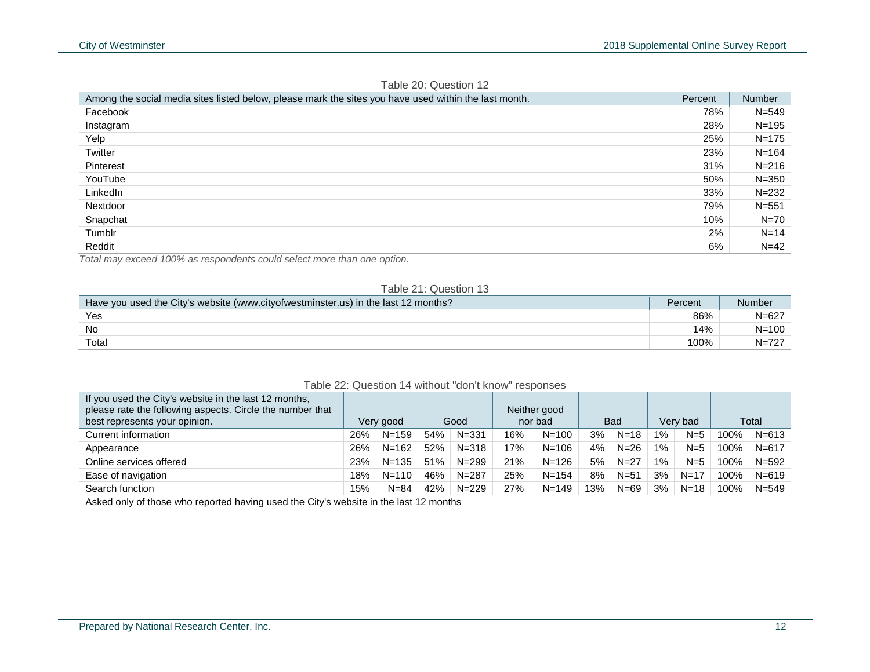| Among the social media sites listed below, please mark the sites you have used within the last month. | Percent | Number    |
|-------------------------------------------------------------------------------------------------------|---------|-----------|
| Facebook                                                                                              | 78%     | $N = 549$ |
| Instagram                                                                                             | 28%     | N=195     |
| Yelp                                                                                                  | 25%     | $N = 175$ |
| Twitter                                                                                               | 23%     | $N = 164$ |
| Pinterest                                                                                             | 31%     | $N = 216$ |
| YouTube                                                                                               | 50%     | $N = 350$ |
| LinkedIn                                                                                              | 33%     | $N = 232$ |
| Nextdoor                                                                                              | 79%     | $N = 551$ |
| Snapchat                                                                                              | 10%     | $N=70$    |
| Tumblr                                                                                                | 2%      | $N=14$    |
| Reddit                                                                                                | 6%      | $N=42$    |

#### Table 20: Question 12

*Total may exceed 100% as respondents could select more than one option.*

#### Table 21: Question 13

| Have you used the City's website (www.cityofwestminster.us) in the last 12 months? | Percent | Number    |
|------------------------------------------------------------------------------------|---------|-----------|
| Yes                                                                                | 86%     | N=627     |
| No                                                                                 | 14%     | $N = 100$ |
| Total                                                                              | 100%    | $N = 727$ |

#### Table 22: Question 14 without "don't know" responses

| If you used the City's website in the last 12 months,<br>please rate the following aspects. Circle the number that<br>best represents your opinion. |     | Very good |     | Good      |     | Neither good<br>nor bad |     | <b>Bad</b> |       | Very bad |      | Total     |
|-----------------------------------------------------------------------------------------------------------------------------------------------------|-----|-----------|-----|-----------|-----|-------------------------|-----|------------|-------|----------|------|-----------|
| Current information                                                                                                                                 | 26% | $N = 159$ | 54% | $N = 331$ | 16% | $N = 100$               | 3%  | $N = 18$   | $1\%$ | $N=5$    | 100% | N=613     |
| Appearance                                                                                                                                          | 26% | $N = 162$ | 52% | $N = 318$ | 17% | $N = 106$               | 4%  | $N=26$     | $1\%$ | $N=5$    | 100% | $N = 617$ |
| Online services offered                                                                                                                             | 23% | $N = 135$ | 51% | $N = 299$ | 21% | $N = 126$               | 5%  | $N = 27$   | $1\%$ | $N=5$    | 100% | $N = 592$ |
| Ease of navigation                                                                                                                                  | 18% | $N = 110$ | 46% | $N = 287$ | 25% | $N = 154$               | 8%  | $N = 51$   | 3%    | $N = 17$ | 100% | $N = 619$ |
| Search function                                                                                                                                     | 15% | $N = 84$  | 42% | $N = 229$ | 27% | $N = 149$               | 13% | $N=69$     | 3%    | $N = 18$ | 100% | $N = 549$ |
| Asked only of those who reported having used the City's website in the last 12 months                                                               |     |           |     |           |     |                         |     |            |       |          |      |           |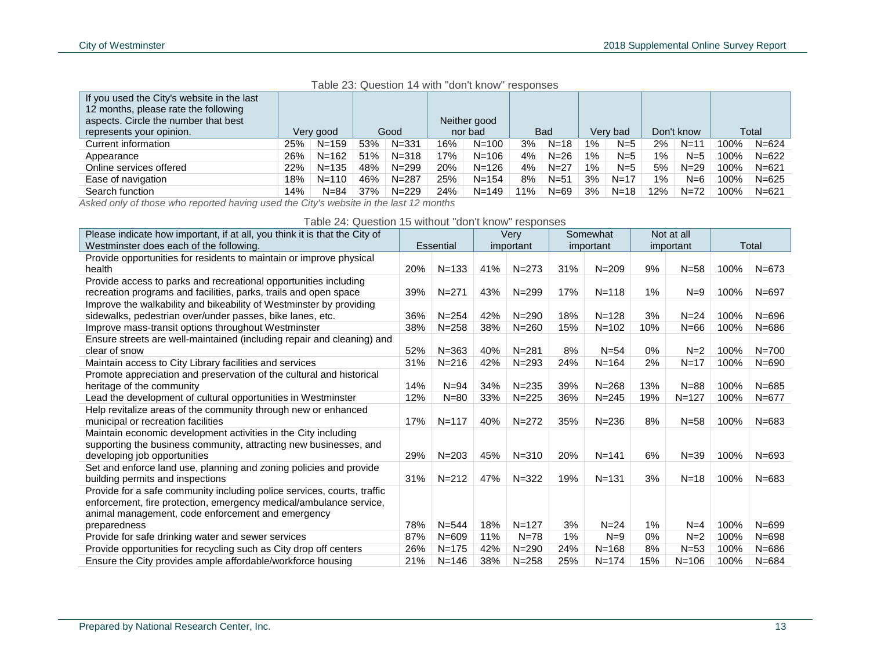| Table 23: Question 14 with "don't know" responses |  |  |  |  |  |
|---------------------------------------------------|--|--|--|--|--|
|---------------------------------------------------|--|--|--|--|--|

| If you used the City's website in the last<br>12 months, please rate the following<br>aspects. Circle the number that best |     |           |     |           |     | Neither good |     |            |       |          |       |            |      |           |
|----------------------------------------------------------------------------------------------------------------------------|-----|-----------|-----|-----------|-----|--------------|-----|------------|-------|----------|-------|------------|------|-----------|
| represents your opinion.                                                                                                   |     | Very good |     | Good      |     | nor bad      |     | <b>Bad</b> |       | Verv bad |       | Don't know |      | Total     |
| Current information                                                                                                        | 25% | $N = 159$ | 53% | $N = 331$ | 16% | $N = 100$    | 3%  | N=18       | $1\%$ | $N=5$    | 2%    | $N = 11$   | 100% | $N = 624$ |
| Appearance                                                                                                                 | 26% | $N = 162$ | 51% | $N = 318$ | 17% | $N = 106$    | 4%  | $N = 26$   | $1\%$ | $N=5$    | $1\%$ | $N=5$      | 100% | $N = 622$ |
| Online services offered                                                                                                    | 22% | $N = 135$ | 48% | $N = 299$ | 20% | $N = 126$    | 4%  | $N = 27$   | $1\%$ | $N=5$    | 5%    | $N = 29$   | 100% | $N = 621$ |
| Ease of navigation                                                                                                         | 18% | $N = 110$ | 46% | $N = 287$ | 25% | $N = 154$    | 8%  | $N = 51$   | 3%    | $N = 17$ | $1\%$ | $N=6$      | 100% | $N = 625$ |
| Search function                                                                                                            | 14% | $N = 84$  | 37% | $N = 229$ | 24% | $N = 149$    | 11% | $N = 69$   | 3%    | $N = 18$ | 12%   | N=72       | 100% | $N = 621$ |

*Asked only of those who reported having used the City's website in the last 12 months*

Table 24: Question 15 without "don't know" responses

| Please indicate how important, if at all, you think it is that the City of |     |           |     | Very      |       | Somewhat  |     | Not at all |      |           |
|----------------------------------------------------------------------------|-----|-----------|-----|-----------|-------|-----------|-----|------------|------|-----------|
| Westminster does each of the following.                                    |     | Essential |     | important |       | important |     | important  |      | Total     |
| Provide opportunities for residents to maintain or improve physical        |     |           |     |           |       |           |     |            |      |           |
| health                                                                     | 20% | $N = 133$ | 41% | $N = 273$ | 31%   | $N = 209$ | 9%  | $N = 58$   | 100% | $N = 673$ |
| Provide access to parks and recreational opportunities including           |     |           |     |           |       |           |     |            |      |           |
| recreation programs and facilities, parks, trails and open space           | 39% | $N = 271$ | 43% | $N = 299$ | 17%   | $N = 118$ | 1%  | $N=9$      | 100% | $N = 697$ |
| Improve the walkability and bikeability of Westminster by providing        |     |           |     |           |       |           |     |            |      |           |
| sidewalks, pedestrian over/under passes, bike lanes, etc.                  | 36% | $N = 254$ | 42% | $N = 290$ | 18%   | $N = 128$ | 3%  | $N = 24$   | 100% | $N = 696$ |
| Improve mass-transit options throughout Westminster                        | 38% | $N = 258$ | 38% | $N = 260$ | 15%   | $N = 102$ | 10% | $N=66$     | 100% | $N = 686$ |
| Ensure streets are well-maintained (including repair and cleaning) and     |     |           |     |           |       |           |     |            |      |           |
| clear of snow                                                              | 52% | $N = 363$ | 40% | $N = 281$ | 8%    | $N = 54$  | 0%  | $N=2$      | 100% | $N = 700$ |
| Maintain access to City Library facilities and services                    | 31% | $N = 216$ | 42% | $N = 293$ | 24%   | $N = 164$ | 2%  | $N = 17$   | 100% | $N = 690$ |
| Promote appreciation and preservation of the cultural and historical       |     |           |     |           |       |           |     |            |      |           |
| heritage of the community                                                  | 14% | $N = 94$  | 34% | $N = 235$ | 39%   | $N = 268$ | 13% | $N = 88$   | 100% | $N = 685$ |
| Lead the development of cultural opportunities in Westminster              | 12% | $N = 80$  | 33% | $N = 225$ | 36%   | $N = 245$ | 19% | $N = 127$  | 100% | $N = 677$ |
| Help revitalize areas of the community through new or enhanced             |     |           |     |           |       |           |     |            |      |           |
| municipal or recreation facilities                                         | 17% | $N = 117$ | 40% | $N = 272$ | 35%   | $N = 236$ | 8%  | $N = 58$   | 100% | $N = 683$ |
| Maintain economic development activities in the City including             |     |           |     |           |       |           |     |            |      |           |
| supporting the business community, attracting new businesses, and          |     |           |     |           |       |           |     |            |      |           |
| developing job opportunities                                               | 29% | $N = 203$ | 45% | $N = 310$ | 20%   | $N = 141$ | 6%  | $N = 39$   | 100% | $N = 693$ |
| Set and enforce land use, planning and zoning policies and provide         |     |           |     |           |       |           |     |            |      |           |
| building permits and inspections                                           | 31% | $N = 212$ | 47% | $N = 322$ | 19%   | $N = 131$ | 3%  | $N = 18$   | 100% | $N = 683$ |
| Provide for a safe community including police services, courts, traffic    |     |           |     |           |       |           |     |            |      |           |
| enforcement, fire protection, emergency medical/ambulance service,         |     |           |     |           |       |           |     |            |      |           |
| animal management, code enforcement and emergency                          |     |           |     |           |       |           |     |            |      |           |
| preparedness                                                               | 78% | $N = 544$ | 18% | $N = 127$ | 3%    | $N = 24$  | 1%  | $N=4$      | 100% | $N = 699$ |
| Provide for safe drinking water and sewer services                         | 87% | $N = 609$ | 11% | $N = 78$  | $1\%$ | $N=9$     | 0%  | $N=2$      | 100% | $N = 698$ |
| Provide opportunities for recycling such as City drop off centers          | 26% | $N = 175$ | 42% | $N = 290$ | 24%   | $N = 168$ | 8%  | $N = 53$   | 100% | $N = 686$ |
| Ensure the City provides ample affordable/workforce housing                | 21% | $N = 146$ | 38% | $N = 258$ | 25%   | $N = 174$ | 15% | $N = 106$  | 100% | $N = 684$ |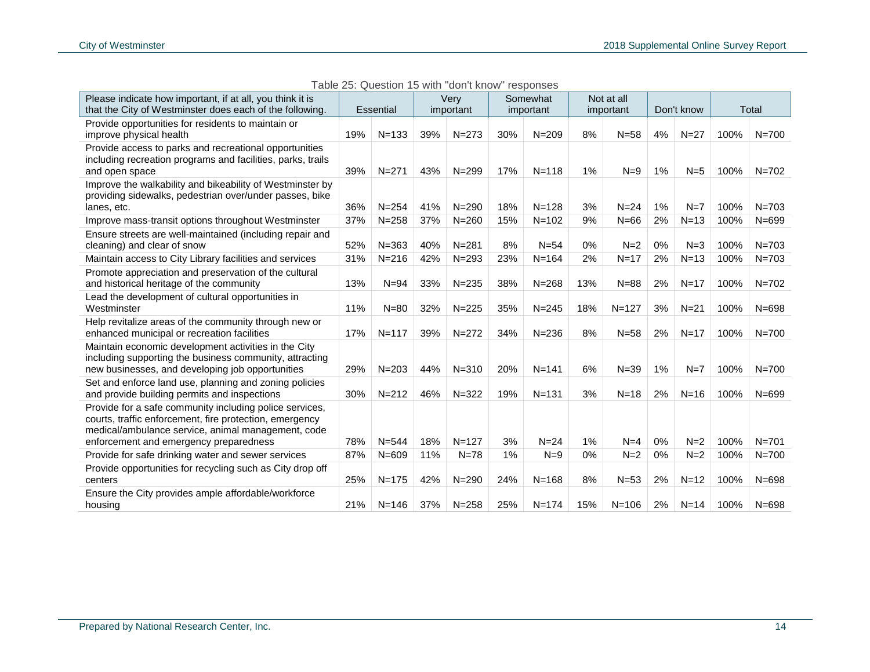| Please indicate how important, if at all, you think it is                                                                                                                                                          |     |           |     | Very      |       | Somewhat  |     | Not at all |       |            |      |           |
|--------------------------------------------------------------------------------------------------------------------------------------------------------------------------------------------------------------------|-----|-----------|-----|-----------|-------|-----------|-----|------------|-------|------------|------|-----------|
| that the City of Westminster does each of the following.                                                                                                                                                           |     | Essential |     | important |       | important |     | important  |       | Don't know |      | Total     |
| Provide opportunities for residents to maintain or<br>improve physical health                                                                                                                                      | 19% | $N = 133$ | 39% | $N = 273$ | 30%   | $N = 209$ | 8%  | $N = 58$   | 4%    | $N=27$     | 100% | $N = 700$ |
| Provide access to parks and recreational opportunities<br>including recreation programs and facilities, parks, trails<br>and open space                                                                            | 39% | $N = 271$ | 43% | $N = 299$ | 17%   | $N = 118$ | 1%  | $N=9$      | $1\%$ | $N=5$      | 100% | $N = 702$ |
| Improve the walkability and bikeability of Westminster by<br>providing sidewalks, pedestrian over/under passes, bike<br>lanes, etc.                                                                                | 36% | $N = 254$ | 41% | $N = 290$ | 18%   | $N = 128$ | 3%  | $N=24$     | 1%    | $N=7$      | 100% | $N = 703$ |
| Improve mass-transit options throughout Westminster                                                                                                                                                                | 37% | $N = 258$ | 37% | $N = 260$ | 15%   | $N = 102$ | 9%  | $N=66$     | 2%    | $N=13$     | 100% | $N = 699$ |
| Ensure streets are well-maintained (including repair and<br>cleaning) and clear of snow                                                                                                                            | 52% | $N = 363$ | 40% | $N = 281$ | 8%    | $N=54$    | 0%  | $N=2$      | 0%    | $N=3$      | 100% | $N = 703$ |
| Maintain access to City Library facilities and services                                                                                                                                                            | 31% | $N = 216$ | 42% | $N = 293$ | 23%   | $N = 164$ | 2%  | $N=17$     | 2%    | $N=13$     | 100% | $N = 703$ |
| Promote appreciation and preservation of the cultural<br>and historical heritage of the community                                                                                                                  | 13% | $N = 94$  | 33% | $N = 235$ | 38%   | $N = 268$ | 13% | $N = 88$   | 2%    | $N=17$     | 100% | $N = 702$ |
| Lead the development of cultural opportunities in<br>Westminster                                                                                                                                                   | 11% | $N = 80$  | 32% | $N = 225$ | 35%   | $N = 245$ | 18% | $N = 127$  | 3%    | $N=21$     | 100% | $N = 698$ |
| Help revitalize areas of the community through new or<br>enhanced municipal or recreation facilities                                                                                                               | 17% | $N = 117$ | 39% | $N = 272$ | 34%   | $N = 236$ | 8%  | $N = 58$   | 2%    | $N=17$     | 100% | $N = 700$ |
| Maintain economic development activities in the City<br>including supporting the business community, attracting<br>new businesses, and developing job opportunities                                                | 29% | $N = 203$ | 44% | $N = 310$ | 20%   | $N = 141$ | 6%  | $N = 39$   | 1%    | $N=7$      | 100% | $N = 700$ |
| Set and enforce land use, planning and zoning policies<br>and provide building permits and inspections                                                                                                             | 30% | $N = 212$ | 46% | $N = 322$ | 19%   | $N = 131$ | 3%  | $N=18$     | 2%    | $N=16$     | 100% | $N = 699$ |
| Provide for a safe community including police services,<br>courts, traffic enforcement, fire protection, emergency<br>medical/ambulance service, animal management, code<br>enforcement and emergency preparedness | 78% | $N = 544$ | 18% | $N = 127$ | 3%    | $N=24$    | 1%  | $N=4$      | 0%    | $N=2$      | 100% | $N = 701$ |
| Provide for safe drinking water and sewer services                                                                                                                                                                 | 87% | $N = 609$ | 11% | $N = 78$  | $1\%$ | $N=9$     | 0%  | $N=2$      | 0%    | $N=2$      | 100% | $N = 700$ |
| Provide opportunities for recycling such as City drop off<br>centers                                                                                                                                               | 25% | $N = 175$ | 42% | $N = 290$ | 24%   | $N = 168$ | 8%  | $N=53$     | 2%    | $N = 12$   | 100% | $N = 698$ |
| Ensure the City provides ample affordable/workforce<br>housing                                                                                                                                                     | 21% | $N = 146$ | 37% | $N = 258$ | 25%   | $N = 174$ | 15% | $N = 106$  | 2%    | $N = 14$   | 100% | $N = 698$ |

Table 25: Question 15 with "don't know" responses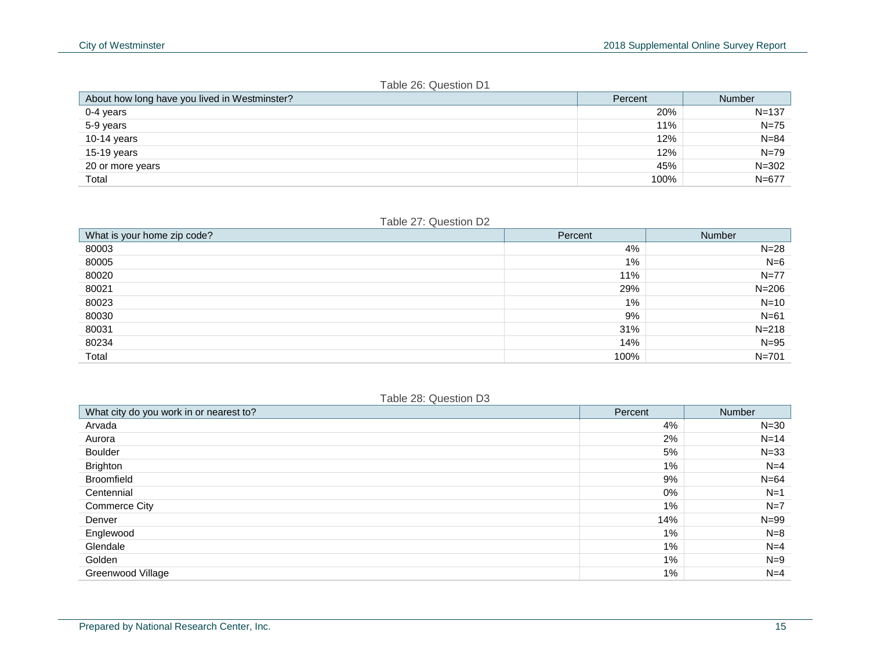#### Table 26: Question D1

| About how long have you lived in Westminster? | Percent | <b>Number</b> |
|-----------------------------------------------|---------|---------------|
| 0-4 years                                     | 20%     | $N = 137$     |
| 5-9 years                                     | 11%     | $N = 75$      |
| 10-14 years                                   | 12%     | $N = 84$      |
| 15-19 years                                   | 12%     | $N = 79$      |
| 20 or more years                              | 45%     | $N = 302$     |
| Total                                         | 100%    | $N = 677$     |

#### Table 27: Question D2

| What is your home zip code? | Percent | Number    |
|-----------------------------|---------|-----------|
| 80003                       | 4%      | $N = 28$  |
| 80005                       | $1\%$   | $N=6$     |
| 80020                       | 11%     | $N = 77$  |
| 80021                       | 29%     | $N = 206$ |
| 80023                       | $1\%$   | $N=10$    |
| 80030                       | 9%      | $N=61$    |
| 80031                       | 31%     | $N = 218$ |
| 80234                       | 14%     | $N=95$    |
| Total                       | 100%    | $N = 701$ |

#### Table 28: Question D3

| What city do you work in or nearest to? | Percent | Number   |
|-----------------------------------------|---------|----------|
| Arvada                                  | 4%      | $N = 30$ |
| Aurora                                  | 2%      | $N = 14$ |
| Boulder                                 | 5%      | $N = 33$ |
| <b>Brighton</b>                         | 1%      | $N=4$    |
| Broomfield                              | 9%      | $N=64$   |
| Centennial                              | 0%      | $N=1$    |
| <b>Commerce City</b>                    | $1\%$   | $N=7$    |
| Denver                                  | 14%     | $N = 99$ |
| Englewood                               | $1\%$   | $N=8$    |
| Glendale                                | $1\%$   | $N=4$    |
| Golden                                  | $1\%$   | $N=9$    |
| Greenwood Village                       | $1\%$   | $N=4$    |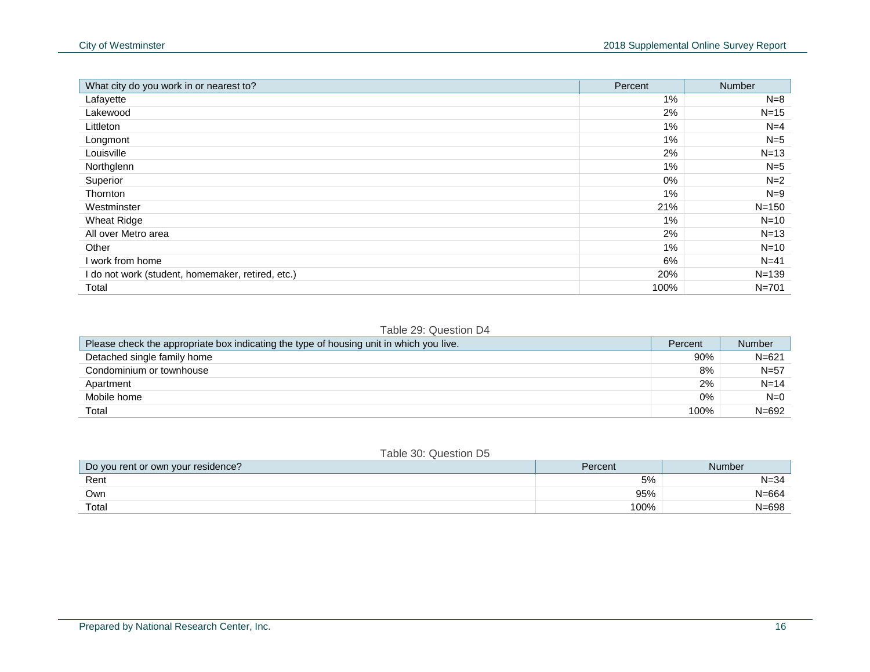| What city do you work in or nearest to?           | Percent | <b>Number</b> |
|---------------------------------------------------|---------|---------------|
| Lafayette                                         | 1%      | $N=8$         |
| Lakewood                                          | 2%      | $N = 15$      |
| Littleton                                         | $1\%$   | $N=4$         |
| Longmont                                          | $1\%$   | $N=5$         |
| Louisville                                        | 2%      | $N = 13$      |
| Northglenn                                        | $1\%$   | $N=5$         |
| Superior                                          | 0%      | $N=2$         |
| <b>Thornton</b>                                   | $1\%$   | $N=9$         |
| Westminster                                       | 21%     | $N = 150$     |
| <b>Wheat Ridge</b>                                | $1\%$   | $N=10$        |
| All over Metro area                               | 2%      | $N = 13$      |
| Other                                             | $1\%$   | $N=10$        |
| I work from home                                  | 6%      | $N = 41$      |
| I do not work (student, homemaker, retired, etc.) | 20%     | $N = 139$     |
| Total                                             | 100%    | $N = 701$     |

#### Table 29: Question D4

| Please check the appropriate box indicating the type of housing unit in which you live. | Percent | <b>Number</b> |
|-----------------------------------------------------------------------------------------|---------|---------------|
| Detached single family home                                                             | 90%     | $N = 621$     |
| Condominium or townhouse                                                                | 8%      | $N = 57$      |
| Apartment                                                                               | 2%      | $N = 14$      |
| Mobile home                                                                             | 0%      | $N=0$         |
| Total                                                                                   | 100%    | $N = 692$     |

#### Table 30: Question D5

| Do you rent or own your residence? | Percent | <b>Number</b> |
|------------------------------------|---------|---------------|
| Rent                               | 5%      | $N = 34$      |
| Own                                | 95%     | $N = 664$     |
| Total                              | 100%    | $N = 698$     |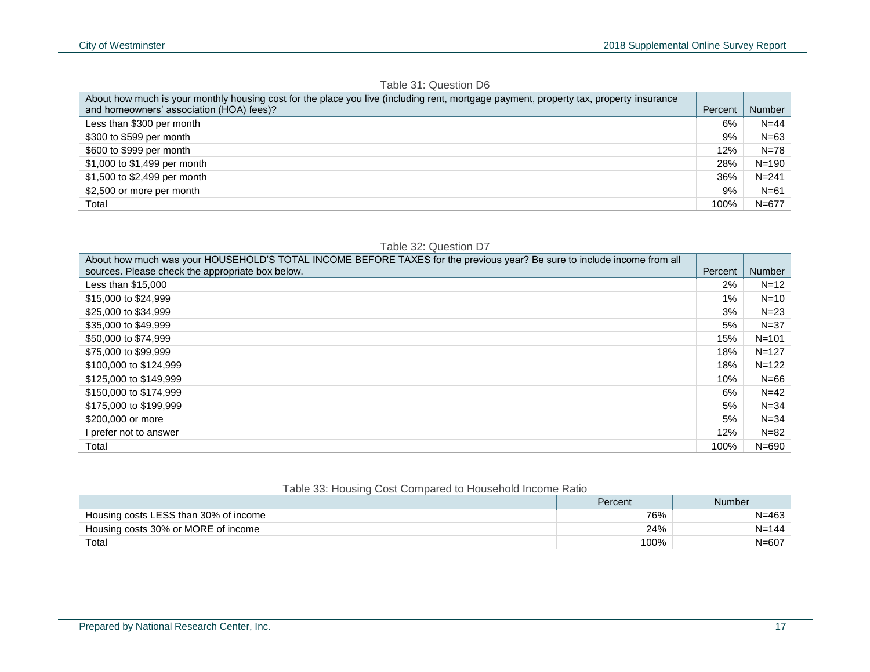| About how much is your monthly housing cost for the place you live (including rent, mortgage payment, property tax, property insurance |         |           |
|----------------------------------------------------------------------------------------------------------------------------------------|---------|-----------|
| and homeowners' association (HOA) fees)?                                                                                               | Percent | Number    |
| Less than \$300 per month                                                                                                              | 6%      | $N = 44$  |
| \$300 to \$599 per month                                                                                                               | 9%      | $N=63$    |
| \$600 to \$999 per month                                                                                                               | 12%     | $N = 78$  |
| \$1,000 to \$1,499 per month                                                                                                           | 28%     | $N = 190$ |
| \$1,500 to \$2,499 per month                                                                                                           | 36%     | $N = 241$ |
| \$2,500 or more per month                                                                                                              | 9%      | $N = 61$  |
| Total                                                                                                                                  | 100%    | $N = 677$ |

#### About how much was your HOUSEHOLD'S TOTAL INCOME BEFORE TAXES for the previous year? Be sure to include income from all sources. Please check the appropriate box below. Percent Number Number Number Number Number Number Number Number Less than \$15,000  $2\%$  N=12  $$15,000$  to  $$24,999$   $$N=10$  $$25,000$  to  $$34,999$   $$N=23$  $$35,000$  to  $$49,999$   $$N=37$ \$50,000 to \$74,999 N=101  $$75,000$  to \$99,999  $\sim$  N=127  $$100,000$  to  $$124,999$   $N=122$  $$125,000$  to  $$149,999$  N=66  $$150,000$  to  $$174,999$   $$N=42$ \$175,000 to \$199,999 5% N=34  $$200,000$  or more 5% N=34 I prefer not to answer the set of the set of the set of the set of the set of the set of the set of the set of the set of the set of the set of the set of the set of the set of the set of the set of the set of the set of t Total 100% N=690

#### Table 33: Housing Cost Compared to Household Income Ratio

|                                       | Percent | Number    |
|---------------------------------------|---------|-----------|
| Housing costs LESS than 30% of income | 76%     | $N = 463$ |
| Housing costs 30% or MORE of income   | 24%     | $N = 144$ |
| Total                                 | 100%    | $N = 607$ |

#### Table 32: Question D7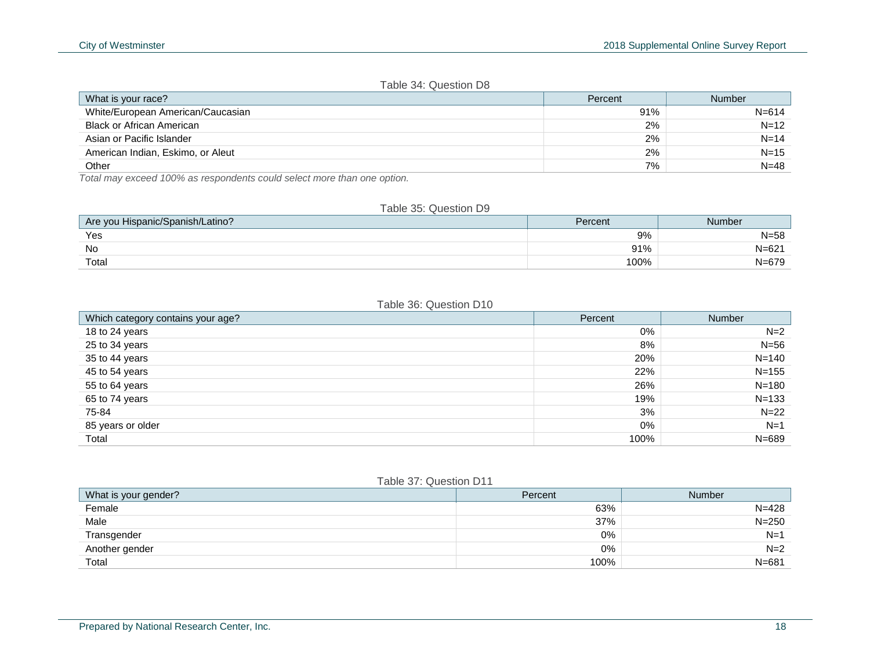#### Table 34: Question D8

| What is your race?                | Percent | Number    |
|-----------------------------------|---------|-----------|
| White/European American/Caucasian | 91%     | $N = 614$ |
| <b>Black or African American</b>  | 2%      | $N = 12$  |
| Asian or Pacific Islander         | 2%      | $N = 14$  |
| American Indian, Eskimo, or Aleut | 2%      | $N = 15$  |
| Other                             | 7%      | $N = 48$  |

*Total may exceed 100% as respondents could select more than one option.*

#### Table 35: Question D9

| J Hispanic/Spanish/Latino?<br>Are you | Percent | Number             |
|---------------------------------------|---------|--------------------|
| Yes                                   | 9%      | $N = 58$           |
| No                                    | 91%     | $\sim$<br>$N = 62$ |
| Total                                 | 100%    | $\sim$             |

#### Table 36: Question D10

| Which category contains your age? | Percent | <b>Number</b> |
|-----------------------------------|---------|---------------|
| 18 to 24 years                    | 0%      | $N=2$         |
| 25 to 34 years                    | 8%      | $N=56$        |
| 35 to 44 years                    | 20%     | $N = 140$     |
| 45 to 54 years                    | 22%     | $N = 155$     |
| 55 to 64 years                    | 26%     | $N = 180$     |
| 65 to 74 years                    | 19%     | $N = 133$     |
| 75-84                             | 3%      | $N = 22$      |
| 85 years or older                 | 0%      | $N=1$         |
| Total                             | 100%    | $N = 689$     |

#### Table 37: Question D11

| What is your gender? | Percent | Number    |
|----------------------|---------|-----------|
| Female               | 63%     | $N = 428$ |
| Male                 | 37%     | $N = 250$ |
| Transgender          | 0%      | $N = 1$   |
| Another gender       | 0%      | $N=2$     |
| Total                | 100%    | $N = 681$ |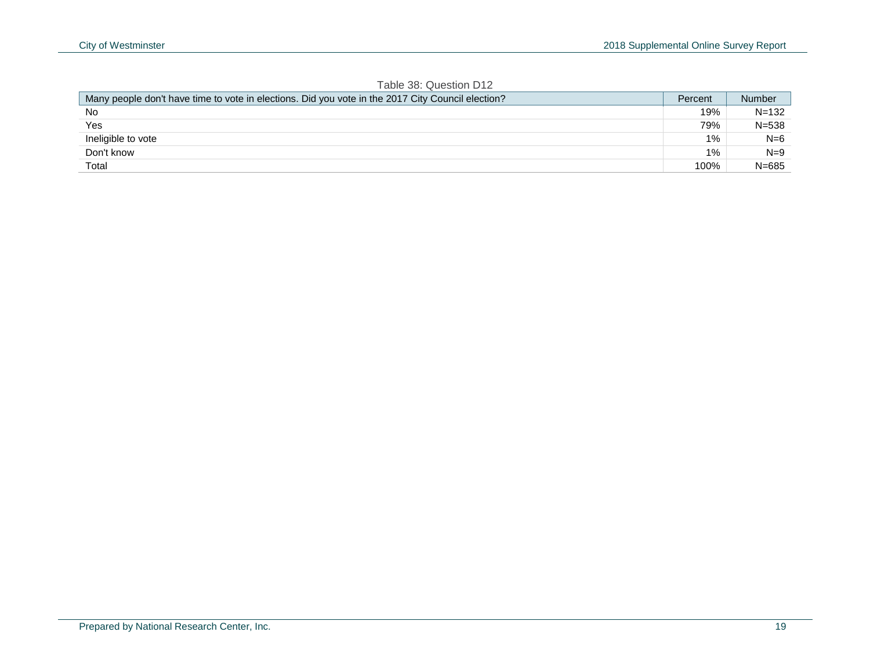| TADIE JO. QUESTION D'IZ                                                                           |         |               |
|---------------------------------------------------------------------------------------------------|---------|---------------|
| Many people don't have time to vote in elections. Did you vote in the 2017 City Council election? | Percent | <b>Number</b> |
| <b>No</b>                                                                                         | 19%     | $N = 132$     |
| Yes                                                                                               | 79%     | $N = 538$     |
| Ineligible to vote                                                                                | $1\%$   | N=6           |
| Don't know                                                                                        | $1\%$   | $N=9$         |
| Total                                                                                             | 100%    | $N = 685$     |

#### Table 38: Question D12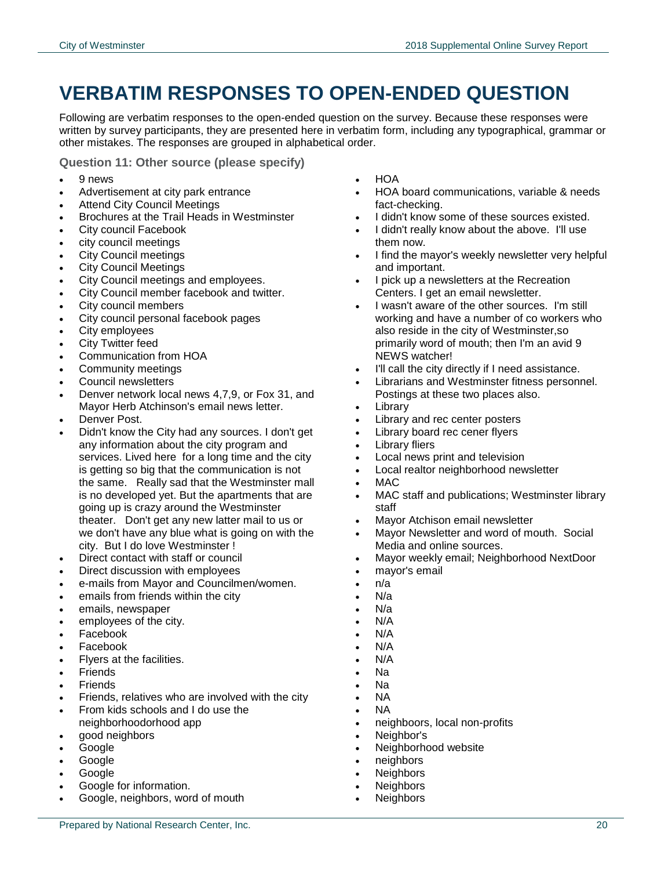## <span id="page-21-0"></span>**VERBATIM RESPONSES TO OPEN-ENDED QUESTION**

Following are verbatim responses to the open-ended question on the survey. Because these responses were written by survey participants, they are presented here in verbatim form, including any typographical, grammar or other mistakes. The responses are grouped in alphabetical order.

**Question 11: Other source (please specify)**

- 9 news
- Advertisement at city park entrance
- Attend City Council Meetings
- Brochures at the Trail Heads in Westminster
- City council Facebook
- city council meetings
- City Council meetings
- City Council Meetings
- City Council meetings and employees.
- City Council member facebook and twitter.
- City council members
- City council personal facebook pages
- City employees
- City Twitter feed
- Communication from HOA
- Community meetings
- Council newsletters
- Denver network local news 4,7,9, or Fox 31, and Mayor Herb Atchinson's email news letter.
- Denver Post.
- Didn't know the City had any sources. I don't get any information about the city program and services. Lived here for a long time and the city is getting so big that the communication is not the same. Really sad that the Westminster mall is no developed yet. But the apartments that are going up is crazy around the Westminster theater. Don't get any new latter mail to us or we don't have any blue what is going on with the city. But I do love Westminster !
- Direct contact with staff or council
- Direct discussion with employees
- e-mails from Mayor and Councilmen/women.
- emails from friends within the city
- emails, newspaper
- employees of the city.
- Facebook
- Facebook
- Flyers at the facilities.
- **Friends**
- Friends
- Friends, relatives who are involved with the city
- From kids schools and I do use the neighborhoodorhood app
- good neighbors
- Google
- Google
- Google
- Google for information.
- Google, neighbors, word of mouth
- HOA
- HOA board communications, variable & needs fact-checking.
- I didn't know some of these sources existed.
- I didn't really know about the above. I'll use them now.
- I find the mayor's weekly newsletter very helpful and important.
- I pick up a newsletters at the Recreation Centers. I get an email newsletter.
- I wasn't aware of the other sources. I'm still working and have a number of co workers who also reside in the city of Westminster,so primarily word of mouth; then I'm an avid 9 NEWS watcher!
- I'll call the city directly if I need assistance.
- Librarians and Westminster fitness personnel. Postings at these two places also.
- Library
- Library and rec center posters
- Library board rec cener flyers
- Library fliers
- Local news print and television
- Local realtor neighborhood newsletter
- MAC
- MAC staff and publications; Westminster library staff
- Mayor Atchison email newsletter
- Mayor Newsletter and word of mouth. Social Media and online sources.
- Mayor weekly email; Neighborhood NextDoor
- mayor's email
- n/a
- N/a
- N/a
- N/A
- N/A
- N/A
- N/A Na
- Na
- NA
- NA
- neighboors, local non-profits
- Neighbor's
- Neighborhood website
- neighbors
- **Neighbors**
- **Neighbors**
- **Neighbors**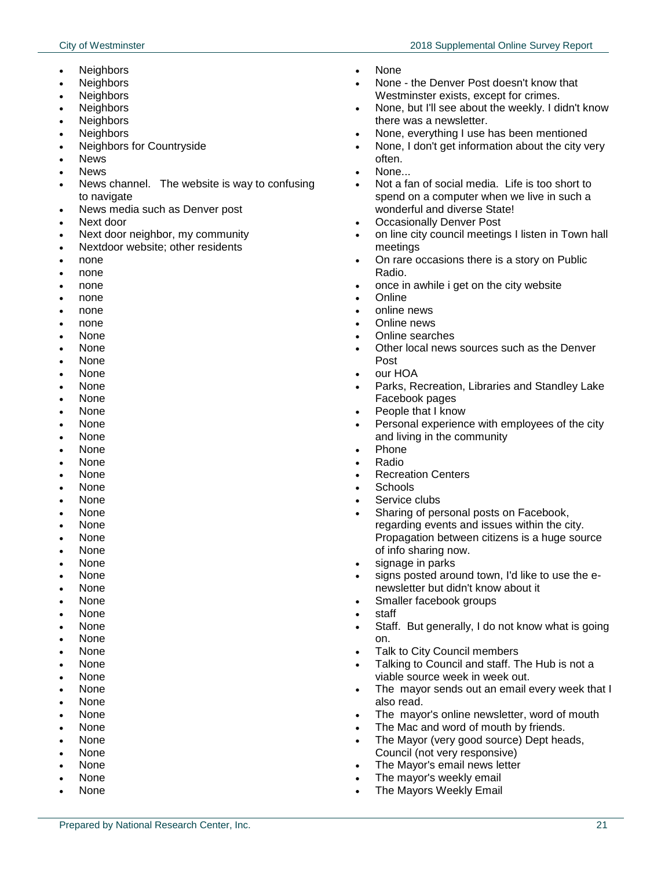- **Neighbors**
- **Neighbors**
- **Neighbors**
- **Neighbors**
- **Neighbors**
- **Neighbors**
- Neighbors for Countryside
- News
- News
- News channel. The website is way to confusing to navigate
- News media such as Denver post
- Next door
- Next door neighbor, my community
- Nextdoor website; other residents
- none
- none
- none
- none
- none none
- None
- None
- None
- None
- None
- None
- None
- None
- None
- None
- None
- None
- None
- None
- None
- None None
- None
- None
- None
- None
- None
- None
- None
- None
- None
- None
- None
- None
- None None
- None
- None
- None
- None
- None
- None
- None
- None the Denver Post doesn't know that Westminster exists, except for crimes.
- None, but I'll see about the weekly. I didn't know there was a newsletter.
- None, everything I use has been mentioned
- None, I don't get information about the city very often.
- None...
- Not a fan of social media. Life is too short to spend on a computer when we live in such a wonderful and diverse State!
- Occasionally Denver Post
- on line city council meetings I listen in Town hall meetings
- On rare occasions there is a story on Public Radio.
- once in awhile i get on the city website
- **Online**
- online news
	- Online news
	- Online searches
	- Other local news sources such as the Denver Post
	- our HOA
	- Parks, Recreation, Libraries and Standley Lake Facebook pages
	- People that I know
	- Personal experience with employees of the city and living in the community
- Phone
- Radio
- Recreation Centers
- Schools
- Service clubs
- Sharing of personal posts on Facebook, regarding events and issues within the city. Propagation between citizens is a huge source of info sharing now.
- signage in parks
- signs posted around town, I'd like to use the enewsletter but didn't know about it
- Smaller facebook groups
- staff
- Staff. But generally, I do not know what is going on.
- Talk to City Council members
- Talking to Council and staff. The Hub is not a viable source week in week out.
- The mayor sends out an email every week that I also read.
- The mayor's online newsletter, word of mouth
- The Mac and word of mouth by friends.
- The Mayor (very good source) Dept heads, Council (not very responsive)
- The Mayor's email news letter
- The mayor's weekly email
- The Mayors Weekly Email